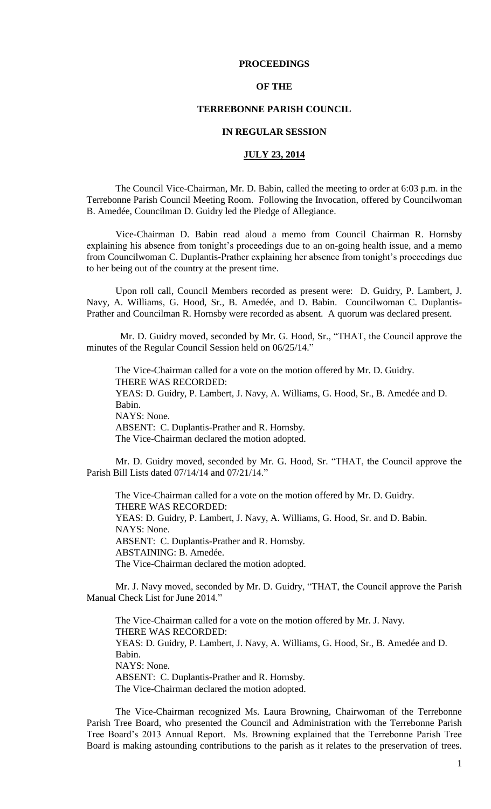## **PROCEEDINGS**

### **OF THE**

## **TERREBONNE PARISH COUNCIL**

## **IN REGULAR SESSION**

## **JULY 23, 2014**

The Council Vice-Chairman, Mr. D. Babin, called the meeting to order at 6:03 p.m. in the Terrebonne Parish Council Meeting Room. Following the Invocation, offered by Councilwoman B. Amedée, Councilman D. Guidry led the Pledge of Allegiance.

Vice-Chairman D. Babin read aloud a memo from Council Chairman R. Hornsby explaining his absence from tonight's proceedings due to an on-going health issue, and a memo from Councilwoman C. Duplantis-Prather explaining her absence from tonight's proceedings due to her being out of the country at the present time.

Upon roll call, Council Members recorded as present were: D. Guidry, P. Lambert, J. Navy, A. Williams, G. Hood, Sr., B. Amedée, and D. Babin. Councilwoman C. Duplantis-Prather and Councilman R. Hornsby were recorded as absent. A quorum was declared present.

 Mr. D. Guidry moved, seconded by Mr. G. Hood, Sr., "THAT, the Council approve the minutes of the Regular Council Session held on 06/25/14."

The Vice-Chairman called for a vote on the motion offered by Mr. D. Guidry. THERE WAS RECORDED: YEAS: D. Guidry, P. Lambert, J. Navy, A. Williams, G. Hood, Sr., B. Amedée and D. Babin. NAYS: None. ABSENT: C. Duplantis-Prather and R. Hornsby. The Vice-Chairman declared the motion adopted.

Mr. D. Guidry moved, seconded by Mr. G. Hood, Sr. "THAT, the Council approve the Parish Bill Lists dated 07/14/14 and 07/21/14."

The Vice-Chairman called for a vote on the motion offered by Mr. D. Guidry. THERE WAS RECORDED: YEAS: D. Guidry, P. Lambert, J. Navy, A. Williams, G. Hood, Sr. and D. Babin. NAYS: None. ABSENT: C. Duplantis-Prather and R. Hornsby. ABSTAINING: B. Amedée. The Vice-Chairman declared the motion adopted.

Mr. J. Navy moved, seconded by Mr. D. Guidry, "THAT, the Council approve the Parish Manual Check List for June 2014."

The Vice-Chairman called for a vote on the motion offered by Mr. J. Navy. THERE WAS RECORDED: YEAS: D. Guidry, P. Lambert, J. Navy, A. Williams, G. Hood, Sr., B. Amedée and D. Babin. NAYS: None. ABSENT: C. Duplantis-Prather and R. Hornsby. The Vice-Chairman declared the motion adopted.

The Vice-Chairman recognized Ms. Laura Browning, Chairwoman of the Terrebonne Parish Tree Board, who presented the Council and Administration with the Terrebonne Parish Tree Board's 2013 Annual Report. Ms. Browning explained that the Terrebonne Parish Tree Board is making astounding contributions to the parish as it relates to the preservation of trees.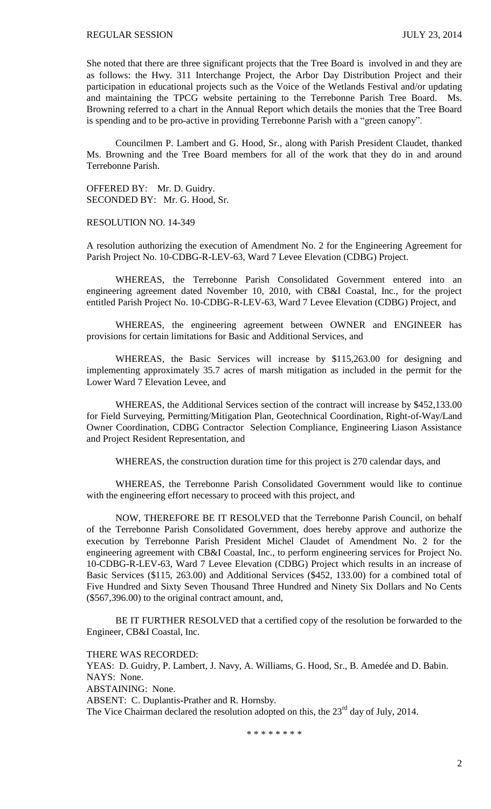She noted that there are three significant projects that the Tree Board is involved in and they are as follows: the Hwy. 311 Interchange Project, the Arbor Day Distribution Project and their participation in educational projects such as the Voice of the Wetlands Festival and/or updating and maintaining the TPCG website pertaining to the Terrebonne Parish Tree Board. Ms. Browning referred to a chart in the Annual Report which details the monies that the Tree Board is spending and to be pro-active in providing Terrebonne Parish with a "green canopy".

Councilmen P. Lambert and G. Hood, Sr., along with Parish President Claudet, thanked Ms. Browning and the Tree Board members for all of the work that they do in and around Terrebonne Parish.

OFFERED BY: Mr. D. Guidry. SECONDED BY: Mr. G. Hood, Sr.

RESOLUTION NO. 14-349

A resolution authorizing the execution of Amendment No. 2 for the Engineering Agreement for Parish Project No. 10-CDBG-R-LEV-63, Ward 7 Levee Elevation (CDBG) Project.

WHEREAS, the Terrebonne Parish Consolidated Government entered into an engineering agreement dated November 10, 2010, with CB&I Coastal, Inc., for the project entitled Parish Project No. 10-CDBG-R-LEV-63, Ward 7 Levee Elevation (CDBG) Project, and

WHEREAS, the engineering agreement between OWNER and ENGINEER has provisions for certain limitations for Basic and Additional Services, and

WHEREAS, the Basic Services will increase by \$115,263.00 for designing and implementing approximately 35.7 acres of marsh mitigation as included in the permit for the Lower Ward 7 Elevation Levee, and

WHEREAS, the Additional Services section of the contract will increase by \$452,133.00 for Field Surveying, Permitting/Mitigation Plan, Geotechnical Coordination, Right-of-Way/Land Owner Coordination, CDBG Contractor Selection Compliance, Engineering Liason Assistance and Project Resident Representation, and

WHEREAS, the construction duration time for this project is 270 calendar days, and

WHEREAS, the Terrebonne Parish Consolidated Government would like to continue with the engineering effort necessary to proceed with this project, and

NOW, THEREFORE BE IT RESOLVED that the Terrebonne Parish Council, on behalf of the Terrebonne Parish Consolidated Government, does hereby approve and authorize the execution by Terrebonne Parish President Michel Claudet of Amendment No. 2 for the engineering agreement with CB&I Coastal, Inc., to perform engineering services for Project No. 10-CDBG-R-LEV-63, Ward 7 Levee Elevation (CDBG) Project which results in an increase of Basic Services (\$115, 263.00) and Additional Services (\$452, 133.00) for a combined total of Five Hundred and Sixty Seven Thousand Three Hundred and Ninety Six Dollars and No Cents (\$567,396.00) to the original contract amount, and,

BE IT FURTHER RESOLVED that a certified copy of the resolution be forwarded to the Engineer, CB&I Coastal, Inc.

THERE WAS RECORDED: YEAS: D. Guidry, P. Lambert, J. Navy, A. Williams, G. Hood, Sr., B. Amedée and D. Babin. NAYS: None. ABSTAINING: None. ABSENT: C. Duplantis-Prather and R. Hornsby. The Vice Chairman declared the resolution adopted on this, the 23<sup>rd</sup> day of July, 2014.

\* \* \* \* \* \* \* \*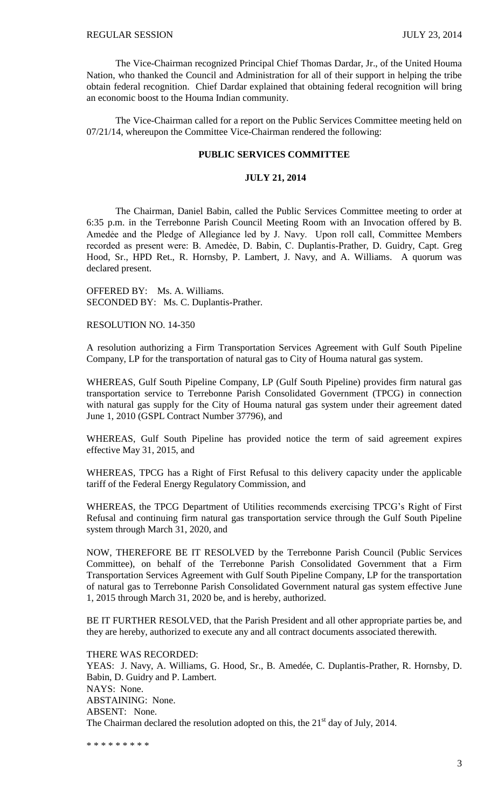The Vice-Chairman recognized Principal Chief Thomas Dardar, Jr., of the United Houma Nation, who thanked the Council and Administration for all of their support in helping the tribe obtain federal recognition. Chief Dardar explained that obtaining federal recognition will bring an economic boost to the Houma Indian community.

The Vice-Chairman called for a report on the Public Services Committee meeting held on 07/21/14, whereupon the Committee Vice-Chairman rendered the following:

## **PUBLIC SERVICES COMMITTEE**

## **JULY 21, 2014**

The Chairman, Daniel Babin, called the Public Services Committee meeting to order at 6:35 p.m. in the Terrebonne Parish Council Meeting Room with an Invocation offered by B. Amedée and the Pledge of Allegiance led by J. Navy. Upon roll call, Committee Members recorded as present were: B. Amedée, D. Babin, C. Duplantis-Prather, D. Guidry, Capt. Greg Hood, Sr., HPD Ret., R. Hornsby, P. Lambert, J. Navy, and A. Williams. A quorum was declared present.

OFFERED BY: Ms. A. Williams. SECONDED BY: Ms. C. Duplantis-Prather.

### RESOLUTION NO. 14-350

A resolution authorizing a Firm Transportation Services Agreement with Gulf South Pipeline Company, LP for the transportation of natural gas to City of Houma natural gas system.

WHEREAS, Gulf South Pipeline Company, LP (Gulf South Pipeline) provides firm natural gas transportation service to Terrebonne Parish Consolidated Government (TPCG) in connection with natural gas supply for the City of Houma natural gas system under their agreement dated June 1, 2010 (GSPL Contract Number 37796), and

WHEREAS, Gulf South Pipeline has provided notice the term of said agreement expires effective May 31, 2015, and

WHEREAS, TPCG has a Right of First Refusal to this delivery capacity under the applicable tariff of the Federal Energy Regulatory Commission, and

WHEREAS, the TPCG Department of Utilities recommends exercising TPCG's Right of First Refusal and continuing firm natural gas transportation service through the Gulf South Pipeline system through March 31, 2020, and

NOW, THEREFORE BE IT RESOLVED by the Terrebonne Parish Council (Public Services Committee), on behalf of the Terrebonne Parish Consolidated Government that a Firm Transportation Services Agreement with Gulf South Pipeline Company, LP for the transportation of natural gas to Terrebonne Parish Consolidated Government natural gas system effective June 1, 2015 through March 31, 2020 be, and is hereby, authorized.

BE IT FURTHER RESOLVED, that the Parish President and all other appropriate parties be, and they are hereby, authorized to execute any and all contract documents associated therewith.

THERE WAS RECORDED: YEAS: J. Navy, A. Williams, G. Hood, Sr., B. Amedée, C. Duplantis-Prather, R. Hornsby, D. Babin, D. Guidry and P. Lambert. NAYS: None. ABSTAINING: None. ABSENT: None. The Chairman declared the resolution adopted on this, the  $21<sup>st</sup>$  day of July, 2014.

\* \* \* \* \* \* \* \* \*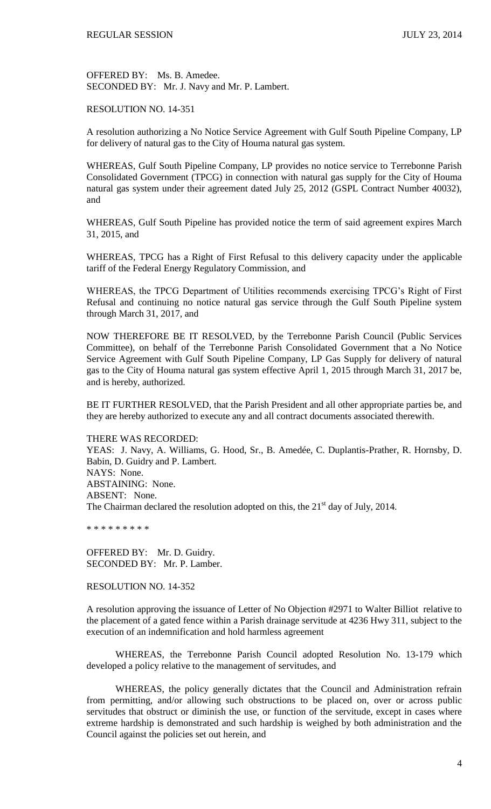OFFERED BY: Ms. B. Amedee. SECONDED BY: Mr. J. Navy and Mr. P. Lambert.

## RESOLUTION NO. 14-351

A resolution authorizing a No Notice Service Agreement with Gulf South Pipeline Company, LP for delivery of natural gas to the City of Houma natural gas system.

WHEREAS, Gulf South Pipeline Company, LP provides no notice service to Terrebonne Parish Consolidated Government (TPCG) in connection with natural gas supply for the City of Houma natural gas system under their agreement dated July 25, 2012 (GSPL Contract Number 40032), and

WHEREAS, Gulf South Pipeline has provided notice the term of said agreement expires March 31, 2015, and

WHEREAS, TPCG has a Right of First Refusal to this delivery capacity under the applicable tariff of the Federal Energy Regulatory Commission, and

WHEREAS, the TPCG Department of Utilities recommends exercising TPCG's Right of First Refusal and continuing no notice natural gas service through the Gulf South Pipeline system through March 31, 2017, and

NOW THEREFORE BE IT RESOLVED, by the Terrebonne Parish Council (Public Services Committee), on behalf of the Terrebonne Parish Consolidated Government that a No Notice Service Agreement with Gulf South Pipeline Company, LP Gas Supply for delivery of natural gas to the City of Houma natural gas system effective April 1, 2015 through March 31, 2017 be, and is hereby, authorized.

BE IT FURTHER RESOLVED, that the Parish President and all other appropriate parties be, and they are hereby authorized to execute any and all contract documents associated therewith.

THERE WAS RECORDED:

YEAS: J. Navy, A. Williams, G. Hood, Sr., B. Amedée, C. Duplantis-Prather, R. Hornsby, D. Babin, D. Guidry and P. Lambert. NAYS: None. ABSTAINING: None. ABSENT: None. The Chairman declared the resolution adopted on this, the  $21<sup>st</sup>$  day of July, 2014.

\* \* \* \* \* \* \* \* \*

OFFERED BY: Mr. D. Guidry. SECONDED BY: Mr. P. Lamber.

RESOLUTION NO. 14-352

A resolution approving the issuance of Letter of No Objection #2971 to Walter Billiot relative to the placement of a gated fence within a Parish drainage servitude at 4236 Hwy 311, subject to the execution of an indemnification and hold harmless agreement

WHEREAS, the Terrebonne Parish Council adopted Resolution No. 13-179 which developed a policy relative to the management of servitudes, and

WHEREAS, the policy generally dictates that the Council and Administration refrain from permitting, and/or allowing such obstructions to be placed on, over or across public servitudes that obstruct or diminish the use, or function of the servitude, except in cases where extreme hardship is demonstrated and such hardship is weighed by both administration and the Council against the policies set out herein, and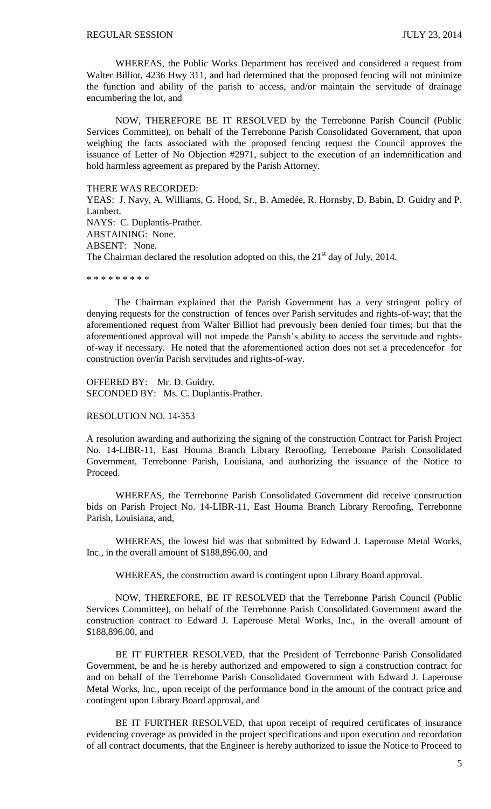WHEREAS, the Public Works Department has received and considered a request from Walter Billiot, 4236 Hwy 311, and had determined that the proposed fencing will not minimize the function and ability of the parish to access, and/or maintain the servitude of drainage encumbering the lot, and

NOW, THEREFORE BE IT RESOLVED by the Terrebonne Parish Council (Public Services Committee), on behalf of the Terrebonne Parish Consolidated Government, that upon weighing the facts associated with the proposed fencing request the Council approves the issuance of Letter of No Objection #2971, subject to the execution of an indemnification and hold harmless agreement as prepared by the Parish Attorney.

THERE WAS RECORDED:

YEAS: J. Navy, A. Williams, G. Hood, Sr., B. Amedée, R. Hornsby, D. Babin, D. Guidry and P. Lambert. NAYS: C. Duplantis-Prather. ABSTAINING: None. ABSENT: None. The Chairman declared the resolution adopted on this, the  $21<sup>st</sup>$  day of July, 2014.

\* \* \* \* \* \* \* \* \*

The Chairman explained that the Parish Government has a very stringent policy of denying requests for the construction of fences over Parish servitudes and rights-of-way; that the aforementioned request from Walter Billiot had prevously been denied four times; but that the aforementioned approval will not impede the Parish's ability to access the servitude and rightsof-way if necessary. He noted that the aforementioned action does not set a precedencefor for construction over/in Parish servitudes and rights-of-way.

OFFERED BY: Mr. D. Guidry. SECONDED BY: Ms. C. Duplantis-Prather.

#### RESOLUTION NO. 14-353

A resolution awarding and authorizing the signing of the construction Contract for Parish Project No. 14-LIBR-11, East Houma Branch Library Reroofing, Terrebonne Parish Consolidated Government, Terrebonne Parish, Louisiana, and authorizing the issuance of the Notice to Proceed.

WHEREAS, the Terrebonne Parish Consolidated Government did receive construction bids on Parish Project No. 14-LIBR-11, East Houma Branch Library Reroofing, Terrebonne Parish, Louisiana, and,

WHEREAS, the lowest bid was that submitted by Edward J. Laperouse Metal Works, Inc., in the overall amount of \$188,896.00, and

WHEREAS, the construction award is contingent upon Library Board approval.

NOW, THEREFORE, BE IT RESOLVED that the Terrebonne Parish Council (Public Services Committee), on behalf of the Terrebonne Parish Consolidated Government award the construction contract to Edward J. Laperouse Metal Works, Inc., in the overall amount of \$188,896.00, and

BE IT FURTHER RESOLVED, that the President of Terrebonne Parish Consolidated Government, be and he is hereby authorized and empowered to sign a construction contract for and on behalf of the Terrebonne Parish Consolidated Government with Edward J. Laperouse Metal Works, Inc., upon receipt of the performance bond in the amount of the contract price and contingent upon Library Board approval, and

BE IT FURTHER RESOLVED, that upon receipt of required certificates of insurance evidencing coverage as provided in the project specifications and upon execution and recordation of all contract documents, that the Engineer is hereby authorized to issue the Notice to Proceed to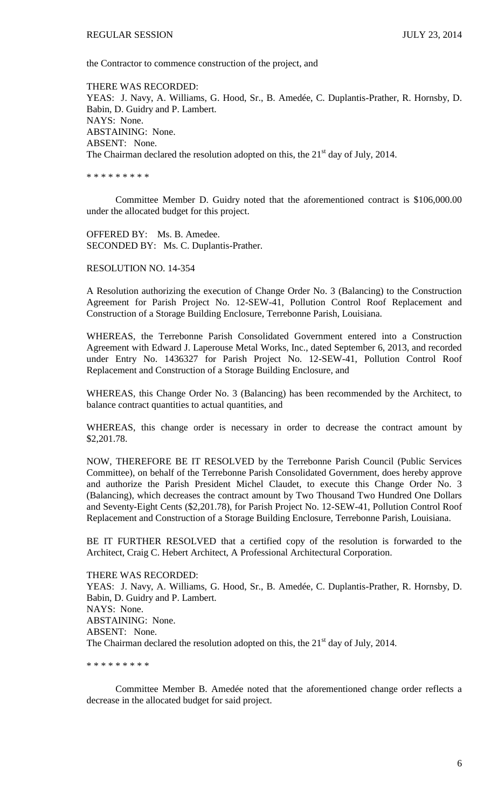the Contractor to commence construction of the project, and

THERE WAS RECORDED: YEAS: J. Navy, A. Williams, G. Hood, Sr., B. Amedée, C. Duplantis-Prather, R. Hornsby, D. Babin, D. Guidry and P. Lambert. NAYS: None. ABSTAINING: None. ABSENT: None. The Chairman declared the resolution adopted on this, the  $21<sup>st</sup>$  day of July, 2014.

\* \* \* \* \* \* \* \* \*

Committee Member D. Guidry noted that the aforementioned contract is \$106,000.00 under the allocated budget for this project.

OFFERED BY: Ms. B. Amedee. SECONDED BY: Ms. C. Duplantis-Prather.

RESOLUTION NO. 14-354

A Resolution authorizing the execution of Change Order No. 3 (Balancing) to the Construction Agreement for Parish Project No. 12-SEW-41, Pollution Control Roof Replacement and Construction of a Storage Building Enclosure, Terrebonne Parish, Louisiana.

WHEREAS, the Terrebonne Parish Consolidated Government entered into a Construction Agreement with Edward J. Laperouse Metal Works, Inc., dated September 6, 2013, and recorded under Entry No. 1436327 for Parish Project No. 12-SEW-41, Pollution Control Roof Replacement and Construction of a Storage Building Enclosure, and

WHEREAS, this Change Order No. 3 (Balancing) has been recommended by the Architect, to balance contract quantities to actual quantities, and

WHEREAS, this change order is necessary in order to decrease the contract amount by \$2,201.78.

NOW, THEREFORE BE IT RESOLVED by the Terrebonne Parish Council (Public Services Committee), on behalf of the Terrebonne Parish Consolidated Government, does hereby approve and authorize the Parish President Michel Claudet, to execute this Change Order No. 3 (Balancing), which decreases the contract amount by Two Thousand Two Hundred One Dollars and Seventy-Eight Cents (\$2,201.78), for Parish Project No. 12-SEW-41, Pollution Control Roof Replacement and Construction of a Storage Building Enclosure, Terrebonne Parish, Louisiana.

BE IT FURTHER RESOLVED that a certified copy of the resolution is forwarded to the Architect, Craig C. Hebert Architect, A Professional Architectural Corporation.

THERE WAS RECORDED: YEAS: J. Navy, A. Williams, G. Hood, Sr., B. Amedée, C. Duplantis-Prather, R. Hornsby, D. Babin, D. Guidry and P. Lambert. NAYS: None. ABSTAINING: None. ABSENT: None. The Chairman declared the resolution adopted on this, the  $21<sup>st</sup>$  day of July, 2014.

\* \* \* \* \* \* \* \* \*

Committee Member B. Amedée noted that the aforementioned change order reflects a decrease in the allocated budget for said project.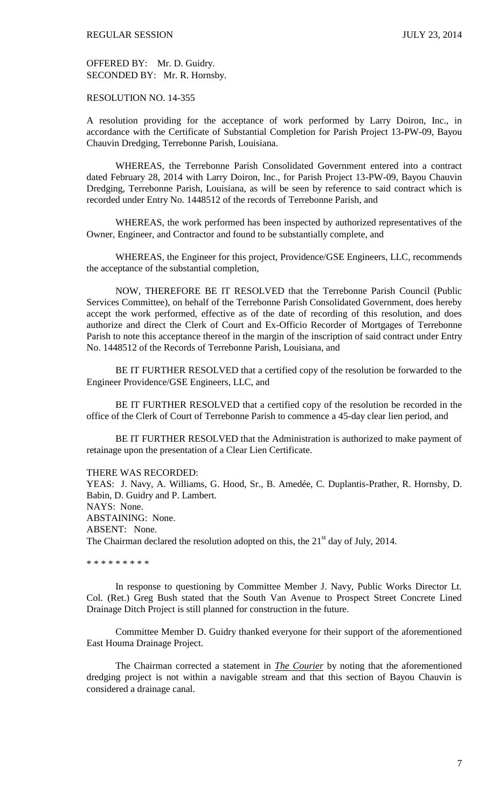OFFERED BY: Mr. D. Guidry. SECONDED BY: Mr. R. Hornsby.

RESOLUTION NO. 14-355

A resolution providing for the acceptance of work performed by Larry Doiron, Inc., in accordance with the Certificate of Substantial Completion for Parish Project 13-PW-09, Bayou Chauvin Dredging, Terrebonne Parish, Louisiana.

WHEREAS, the Terrebonne Parish Consolidated Government entered into a contract dated February 28, 2014 with Larry Doiron, Inc., for Parish Project 13-PW-09, Bayou Chauvin Dredging, Terrebonne Parish, Louisiana, as will be seen by reference to said contract which is recorded under Entry No. 1448512 of the records of Terrebonne Parish, and

WHEREAS, the work performed has been inspected by authorized representatives of the Owner, Engineer, and Contractor and found to be substantially complete, and

WHEREAS, the Engineer for this project, Providence/GSE Engineers, LLC, recommends the acceptance of the substantial completion,

NOW, THEREFORE BE IT RESOLVED that the Terrebonne Parish Council (Public Services Committee), on behalf of the Terrebonne Parish Consolidated Government, does hereby accept the work performed, effective as of the date of recording of this resolution, and does authorize and direct the Clerk of Court and Ex-Officio Recorder of Mortgages of Terrebonne Parish to note this acceptance thereof in the margin of the inscription of said contract under Entry No. 1448512 of the Records of Terrebonne Parish, Louisiana, and

BE IT FURTHER RESOLVED that a certified copy of the resolution be forwarded to the Engineer Providence/GSE Engineers, LLC, and

BE IT FURTHER RESOLVED that a certified copy of the resolution be recorded in the office of the Clerk of Court of Terrebonne Parish to commence a 45-day clear lien period, and

BE IT FURTHER RESOLVED that the Administration is authorized to make payment of retainage upon the presentation of a Clear Lien Certificate.

#### THERE WAS RECORDED:

YEAS: J. Navy, A. Williams, G. Hood, Sr., B. Amedée, C. Duplantis-Prather, R. Hornsby, D. Babin, D. Guidry and P. Lambert. NAYS: None. ABSTAINING: None. ABSENT: None. The Chairman declared the resolution adopted on this, the  $21<sup>st</sup>$  day of July, 2014.

\* \* \* \* \* \* \* \* \*

In response to questioning by Committee Member J. Navy, Public Works Director Lt. Col. (Ret.) Greg Bush stated that the South Van Avenue to Prospect Street Concrete Lined Drainage Ditch Project is still planned for construction in the future.

Committee Member D. Guidry thanked everyone for their support of the aforementioned East Houma Drainage Project.

The Chairman corrected a statement in *The Courier* by noting that the aforementioned dredging project is not within a navigable stream and that this section of Bayou Chauvin is considered a drainage canal.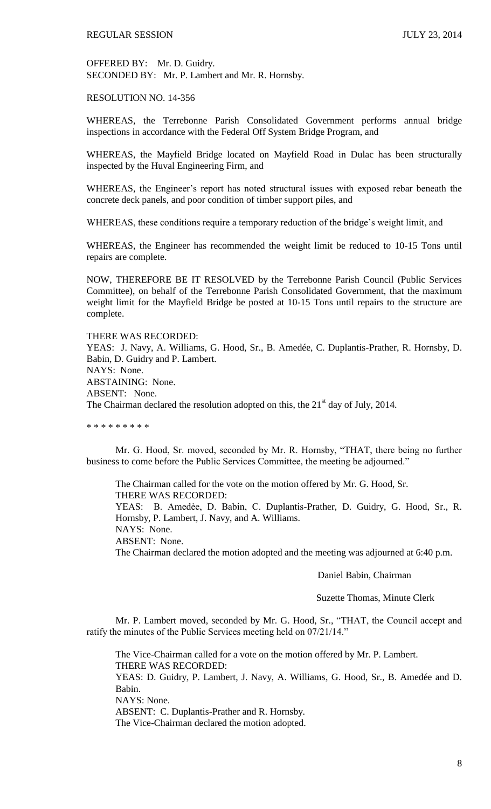OFFERED BY: Mr. D. Guidry. SECONDED BY: Mr. P. Lambert and Mr. R. Hornsby.

RESOLUTION NO. 14-356

WHEREAS, the Terrebonne Parish Consolidated Government performs annual bridge inspections in accordance with the Federal Off System Bridge Program, and

WHEREAS, the Mayfield Bridge located on Mayfield Road in Dulac has been structurally inspected by the Huval Engineering Firm, and

WHEREAS, the Engineer's report has noted structural issues with exposed rebar beneath the concrete deck panels, and poor condition of timber support piles, and

WHEREAS, these conditions require a temporary reduction of the bridge's weight limit, and

WHEREAS, the Engineer has recommended the weight limit be reduced to 10-15 Tons until repairs are complete.

NOW, THEREFORE BE IT RESOLVED by the Terrebonne Parish Council (Public Services Committee), on behalf of the Terrebonne Parish Consolidated Government, that the maximum weight limit for the Mayfield Bridge be posted at 10-15 Tons until repairs to the structure are complete.

THERE WAS RECORDED:

YEAS: J. Navy, A. Williams, G. Hood, Sr., B. Amedée, C. Duplantis-Prather, R. Hornsby, D. Babin, D. Guidry and P. Lambert. NAYS: None. ABSTAINING: None. ABSENT: None. The Chairman declared the resolution adopted on this, the  $21<sup>st</sup>$  day of July, 2014.

\* \* \* \* \* \* \* \* \*

Mr. G. Hood, Sr. moved, seconded by Mr. R. Hornsby, "THAT, there being no further business to come before the Public Services Committee, the meeting be adjourned."

The Chairman called for the vote on the motion offered by Mr. G. Hood, Sr. THERE WAS RECORDED: YEAS: B. Amedẻe, D. Babin, C. Duplantis-Prather, D. Guidry, G. Hood, Sr., R. Hornsby, P. Lambert, J. Navy, and A. Williams. NAYS: None. ABSENT: None. The Chairman declared the motion adopted and the meeting was adjourned at 6:40 p.m.

Daniel Babin, Chairman

Suzette Thomas, Minute Clerk

Mr. P. Lambert moved, seconded by Mr. G. Hood, Sr., "THAT, the Council accept and ratify the minutes of the Public Services meeting held on 07/21/14."

The Vice-Chairman called for a vote on the motion offered by Mr. P. Lambert. THERE WAS RECORDED: YEAS: D. Guidry, P. Lambert, J. Navy, A. Williams, G. Hood, Sr., B. Amedée and D. Babin. NAYS: None. ABSENT: C. Duplantis-Prather and R. Hornsby. The Vice-Chairman declared the motion adopted.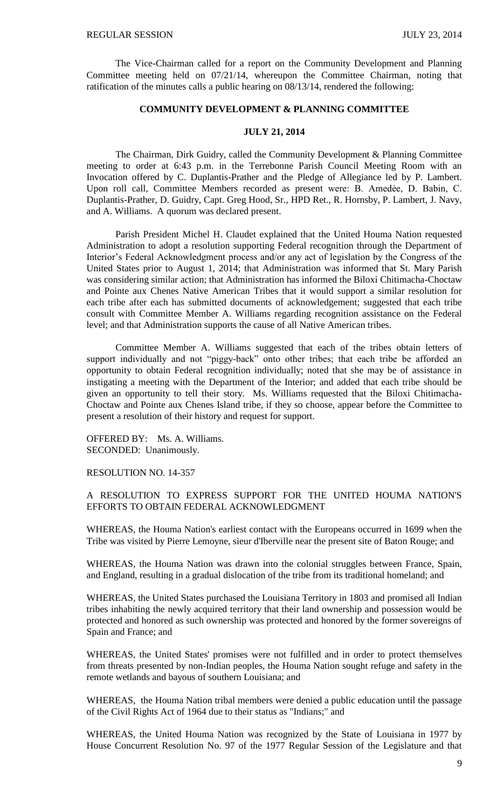The Vice-Chairman called for a report on the Community Development and Planning Committee meeting held on 07/21/14, whereupon the Committee Chairman, noting that ratification of the minutes calls a public hearing on 08/13/14, rendered the following:

## **COMMUNITY DEVELOPMENT & PLANNING COMMITTEE**

### **JULY 21, 2014**

The Chairman, Dirk Guidry, called the Community Development & Planning Committee meeting to order at 6:43 p.m. in the Terrebonne Parish Council Meeting Room with an Invocation offered by C. Duplantis-Prather and the Pledge of Allegiance led by P. Lambert. Upon roll call, Committee Members recorded as present were: B. Amedẻe, D. Babin, C. Duplantis-Prather, D. Guidry, Capt. Greg Hood, Sr., HPD Ret., R. Hornsby, P. Lambert, J. Navy, and A. Williams. A quorum was declared present.

Parish President Michel H. Claudet explained that the United Houma Nation requested Administration to adopt a resolution supporting Federal recognition through the Department of Interior's Federal Acknowledgment process and/or any act of legislation by the Congress of the United States prior to August 1, 2014; that Administration was informed that St. Mary Parish was considering similar action; that Administration has informed the Biloxi Chitimacha-Choctaw and Pointe aux Chenes Native American Tribes that it would support a similar resolution for each tribe after each has submitted documents of acknowledgement; suggested that each tribe consult with Committee Member A. Williams regarding recognition assistance on the Federal level; and that Administration supports the cause of all Native American tribes.

Committee Member A. Williams suggested that each of the tribes obtain letters of support individually and not "piggy-back" onto other tribes; that each tribe be afforded an opportunity to obtain Federal recognition individually; noted that she may be of assistance in instigating a meeting with the Department of the Interior; and added that each tribe should be given an opportunity to tell their story. Ms. Williams requested that the Biloxi Chitimacha-Choctaw and Pointe aux Chenes Island tribe, if they so choose, appear before the Committee to present a resolution of their history and request for support.

OFFERED BY: Ms. A. Williams. SECONDED: Unanimously.

RESOLUTION NO. 14-357

## A RESOLUTION TO EXPRESS SUPPORT FOR THE UNITED HOUMA NATION'S EFFORTS TO OBTAIN FEDERAL ACKNOWLEDGMENT

WHEREAS, the Houma Nation's earliest contact with the Europeans occurred in 1699 when the Tribe was visited by Pierre Lemoyne, sieur d'Iberville near the present site of Baton Rouge; and

WHEREAS, the Houma Nation was drawn into the colonial struggles between France, Spain, and England, resulting in a gradual dislocation of the tribe from its traditional homeland; and

WHEREAS, the United States purchased the Louisiana Territory in 1803 and promised all Indian tribes inhabiting the newly acquired territory that their land ownership and possession would be protected and honored as such ownership was protected and honored by the former sovereigns of Spain and France; and

WHEREAS, the United States' promises were not fulfilled and in order to protect themselves from threats presented by non-Indian peoples, the Houma Nation sought refuge and safety in the remote wetlands and bayous of southern Louisiana; and

WHEREAS, the Houma Nation tribal members were denied a public education until the passage of the Civil Rights Act of 1964 due to their status as "Indians;" and

WHEREAS, the United Houma Nation was recognized by the State of Louisiana in 1977 by House Concurrent Resolution No. 97 of the 1977 Regular Session of the Legislature and that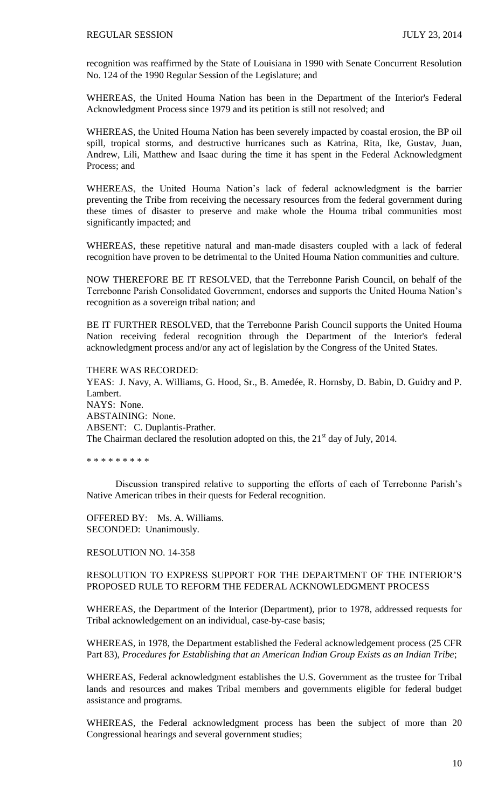recognition was reaffirmed by the State of Louisiana in 1990 with Senate Concurrent Resolution No. 124 of the 1990 Regular Session of the Legislature; and

WHEREAS, the United Houma Nation has been in the Department of the Interior's Federal Acknowledgment Process since 1979 and its petition is still not resolved; and

WHEREAS, the United Houma Nation has been severely impacted by coastal erosion, the BP oil spill, tropical storms, and destructive hurricanes such as Katrina, Rita, Ike, Gustav, Juan, Andrew, Lili, Matthew and Isaac during the time it has spent in the Federal Acknowledgment Process; and

WHEREAS, the United Houma Nation's lack of federal acknowledgment is the barrier preventing the Tribe from receiving the necessary resources from the federal government during these times of disaster to preserve and make whole the Houma tribal communities most significantly impacted; and

WHEREAS, these repetitive natural and man-made disasters coupled with a lack of federal recognition have proven to be detrimental to the United Houma Nation communities and culture.

NOW THEREFORE BE IT RESOLVED, that the Terrebonne Parish Council, on behalf of the Terrebonne Parish Consolidated Government, endorses and supports the United Houma Nation's recognition as a sovereign tribal nation; and

BE IT FURTHER RESOLVED, that the Terrebonne Parish Council supports the United Houma Nation receiving federal recognition through the Department of the Interior's federal acknowledgment process and/or any act of legislation by the Congress of the United States.

THERE WAS RECORDED: YEAS: J. Navy, A. Williams, G. Hood, Sr., B. Amedée, R. Hornsby, D. Babin, D. Guidry and P. Lambert. NAYS: None. ABSTAINING: None. ABSENT: C. Duplantis-Prather. The Chairman declared the resolution adopted on this, the  $21<sup>st</sup>$  day of July, 2014.

\* \* \* \* \* \* \* \* \*

Discussion transpired relative to supporting the efforts of each of Terrebonne Parish's Native American tribes in their quests for Federal recognition.

OFFERED BY: Ms. A. Williams. SECONDED: Unanimously.

RESOLUTION NO. 14-358

RESOLUTION TO EXPRESS SUPPORT FOR THE DEPARTMENT OF THE INTERIOR'S PROPOSED RULE TO REFORM THE FEDERAL ACKNOWLEDGMENT PROCESS

WHEREAS, the Department of the Interior (Department), prior to 1978, addressed requests for Tribal acknowledgement on an individual, case-by-case basis;

WHEREAS, in 1978, the Department established the Federal acknowledgement process (25 CFR Part 83), *Procedures for Establishing that an American Indian Group Exists as an Indian Tribe*;

WHEREAS, Federal acknowledgment establishes the U.S. Government as the trustee for Tribal lands and resources and makes Tribal members and governments eligible for federal budget assistance and programs.

WHEREAS, the Federal acknowledgment process has been the subject of more than 20 Congressional hearings and several government studies;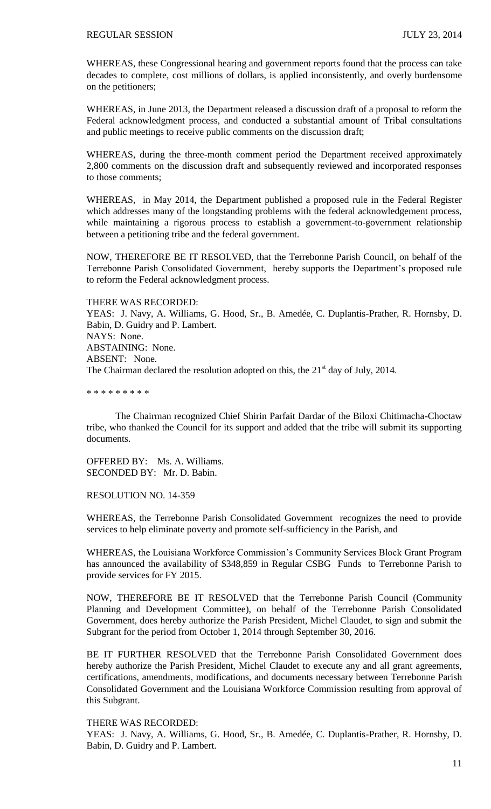WHEREAS, these Congressional hearing and government reports found that the process can take decades to complete, cost millions of dollars, is applied inconsistently, and overly burdensome on the petitioners;

WHEREAS, in June 2013, the Department released a discussion draft of a proposal to reform the Federal acknowledgment process, and conducted a substantial amount of Tribal consultations and public meetings to receive public comments on the discussion draft;

WHEREAS, during the three-month comment period the Department received approximately 2,800 comments on the discussion draft and subsequently reviewed and incorporated responses to those comments;

WHEREAS, in May 2014, the Department published a proposed rule in the Federal Register which addresses many of the longstanding problems with the federal acknowledgement process, while maintaining a rigorous process to establish a government-to-government relationship between a petitioning tribe and the federal government.

NOW, THEREFORE BE IT RESOLVED, that the Terrebonne Parish Council, on behalf of the Terrebonne Parish Consolidated Government, hereby supports the Department's proposed rule to reform the Federal acknowledgment process.

THERE WAS RECORDED: YEAS: J. Navy, A. Williams, G. Hood, Sr., B. Amedée, C. Duplantis-Prather, R. Hornsby, D. Babin, D. Guidry and P. Lambert. NAYS: None. ABSTAINING: None. ABSENT: None. The Chairman declared the resolution adopted on this, the  $21<sup>st</sup>$  day of July, 2014.

\* \* \* \* \* \* \* \* \*

The Chairman recognized Chief Shirin Parfait Dardar of the Biloxi Chitimacha-Choctaw tribe, who thanked the Council for its support and added that the tribe will submit its supporting documents.

OFFERED BY: Ms. A. Williams. SECONDED BY: Mr. D. Babin.

RESOLUTION NO. 14-359

WHEREAS, the Terrebonne Parish Consolidated Government recognizes the need to provide services to help eliminate poverty and promote self-sufficiency in the Parish, and

WHEREAS, the Louisiana Workforce Commission's Community Services Block Grant Program has announced the availability of \$348,859 in Regular CSBG Funds to Terrebonne Parish to provide services for FY 2015.

NOW, THEREFORE BE IT RESOLVED that the Terrebonne Parish Council (Community Planning and Development Committee), on behalf of the Terrebonne Parish Consolidated Government, does hereby authorize the Parish President, Michel Claudet, to sign and submit the Subgrant for the period from October 1, 2014 through September 30, 2016.

BE IT FURTHER RESOLVED that the Terrebonne Parish Consolidated Government does hereby authorize the Parish President, Michel Claudet to execute any and all grant agreements, certifications, amendments, modifications, and documents necessary between Terrebonne Parish Consolidated Government and the Louisiana Workforce Commission resulting from approval of this Subgrant.

THERE WAS RECORDED:

YEAS: J. Navy, A. Williams, G. Hood, Sr., B. Amedée, C. Duplantis-Prather, R. Hornsby, D. Babin, D. Guidry and P. Lambert.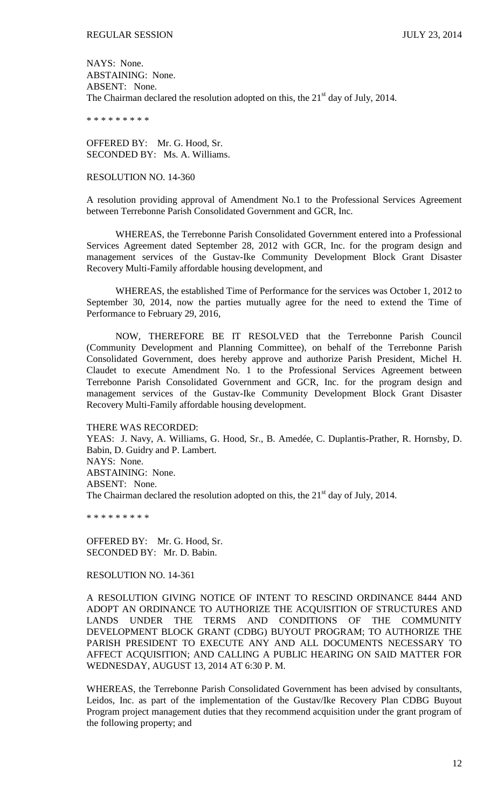NAYS: None. ABSTAINING: None. ABSENT: None. The Chairman declared the resolution adopted on this, the  $21<sup>st</sup>$  day of July, 2014.

\* \* \* \* \* \* \* \* \*

OFFERED BY: Mr. G. Hood, Sr. SECONDED BY: Ms. A. Williams.

## RESOLUTION NO. 14-360

A resolution providing approval of Amendment No.1 to the Professional Services Agreement between Terrebonne Parish Consolidated Government and GCR, Inc.

WHEREAS, the Terrebonne Parish Consolidated Government entered into a Professional Services Agreement dated September 28, 2012 with GCR, Inc. for the program design and management services of the Gustav-Ike Community Development Block Grant Disaster Recovery Multi-Family affordable housing development, and

WHEREAS, the established Time of Performance for the services was October 1, 2012 to September 30, 2014, now the parties mutually agree for the need to extend the Time of Performance to February 29, 2016,

NOW, THEREFORE BE IT RESOLVED that the Terrebonne Parish Council (Community Development and Planning Committee), on behalf of the Terrebonne Parish Consolidated Government, does hereby approve and authorize Parish President, Michel H. Claudet to execute Amendment No. 1 to the Professional Services Agreement between Terrebonne Parish Consolidated Government and GCR, Inc. for the program design and management services of the Gustav-Ike Community Development Block Grant Disaster Recovery Multi-Family affordable housing development.

THERE WAS RECORDED:

YEAS: J. Navy, A. Williams, G. Hood, Sr., B. Amedée, C. Duplantis-Prather, R. Hornsby, D. Babin, D. Guidry and P. Lambert. NAYS: None. ABSTAINING: None. ABSENT: None. The Chairman declared the resolution adopted on this, the  $21<sup>st</sup>$  day of July, 2014.

\* \* \* \* \* \* \* \* \*

OFFERED BY: Mr. G. Hood, Sr. SECONDED BY: Mr. D. Babin.

RESOLUTION NO. 14-361

A RESOLUTION GIVING NOTICE OF INTENT TO RESCIND ORDINANCE 8444 AND ADOPT AN ORDINANCE TO AUTHORIZE THE ACQUISITION OF STRUCTURES AND LANDS UNDER THE TERMS AND CONDITIONS OF THE COMMUNITY DEVELOPMENT BLOCK GRANT (CDBG) BUYOUT PROGRAM; TO AUTHORIZE THE PARISH PRESIDENT TO EXECUTE ANY AND ALL DOCUMENTS NECESSARY TO AFFECT ACQUISITION; AND CALLING A PUBLIC HEARING ON SAID MATTER FOR WEDNESDAY, AUGUST 13, 2014 AT 6:30 P. M.

WHEREAS, the Terrebonne Parish Consolidated Government has been advised by consultants, Leidos, Inc. as part of the implementation of the Gustav/Ike Recovery Plan CDBG Buyout Program project management duties that they recommend acquisition under the grant program of the following property; and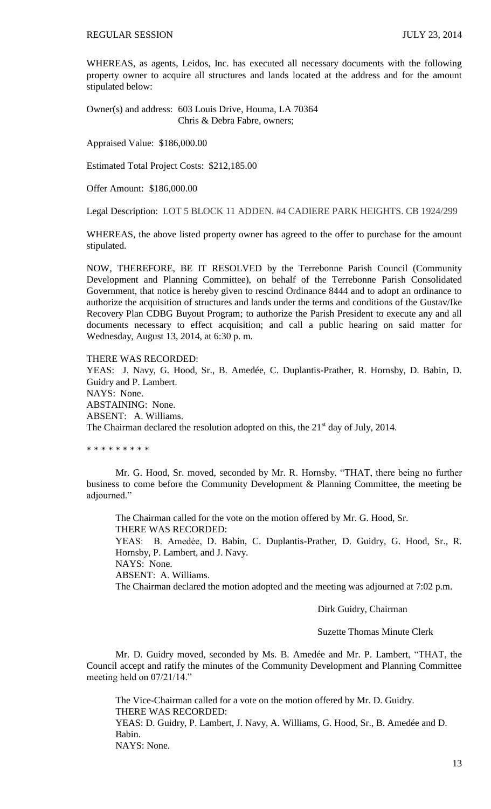WHEREAS, as agents, Leidos, Inc. has executed all necessary documents with the following property owner to acquire all structures and lands located at the address and for the amount stipulated below:

Owner(s) and address: 603 Louis Drive, Houma, LA 70364 Chris & Debra Fabre, owners;

Appraised Value: \$186,000.00

Estimated Total Project Costs: \$212,185.00

Offer Amount: \$186,000.00

Legal Description: LOT 5 BLOCK 11 ADDEN. #4 CADIERE PARK HEIGHTS. CB 1924/299

WHEREAS, the above listed property owner has agreed to the offer to purchase for the amount stipulated.

NOW, THEREFORE, BE IT RESOLVED by the Terrebonne Parish Council (Community Development and Planning Committee), on behalf of the Terrebonne Parish Consolidated Government, that notice is hereby given to rescind Ordinance 8444 and to adopt an ordinance to authorize the acquisition of structures and lands under the terms and conditions of the Gustav/Ike Recovery Plan CDBG Buyout Program; to authorize the Parish President to execute any and all documents necessary to effect acquisition; and call a public hearing on said matter for Wednesday, August 13, 2014, at 6:30 p. m.

THERE WAS RECORDED:

YEAS: J. Navy, G. Hood, Sr., B. Amedée, C. Duplantis-Prather, R. Hornsby, D. Babin, D. Guidry and P. Lambert. NAYS: None. ABSTAINING: None. ABSENT: A. Williams. The Chairman declared the resolution adopted on this, the  $21<sup>st</sup>$  day of July, 2014.

\* \* \* \* \* \* \* \* \*

Mr. G. Hood, Sr. moved, seconded by Mr. R. Hornsby, "THAT, there being no further business to come before the Community Development & Planning Committee, the meeting be adjourned."

The Chairman called for the vote on the motion offered by Mr. G. Hood, Sr. THERE WAS RECORDED: YEAS: B. Amedẻe, D. Babin, C. Duplantis-Prather, D. Guidry, G. Hood, Sr., R. Hornsby, P. Lambert, and J. Navy. NAYS: None. ABSENT: A. Williams. The Chairman declared the motion adopted and the meeting was adjourned at 7:02 p.m.

Dirk Guidry, Chairman

Suzette Thomas Minute Clerk

Mr. D. Guidry moved, seconded by Ms. B. Amedée and Mr. P. Lambert, "THAT, the Council accept and ratify the minutes of the Community Development and Planning Committee meeting held on 07/21/14."

The Vice-Chairman called for a vote on the motion offered by Mr. D. Guidry. THERE WAS RECORDED: YEAS: D. Guidry, P. Lambert, J. Navy, A. Williams, G. Hood, Sr., B. Amedée and D. Babin.

NAYS: None.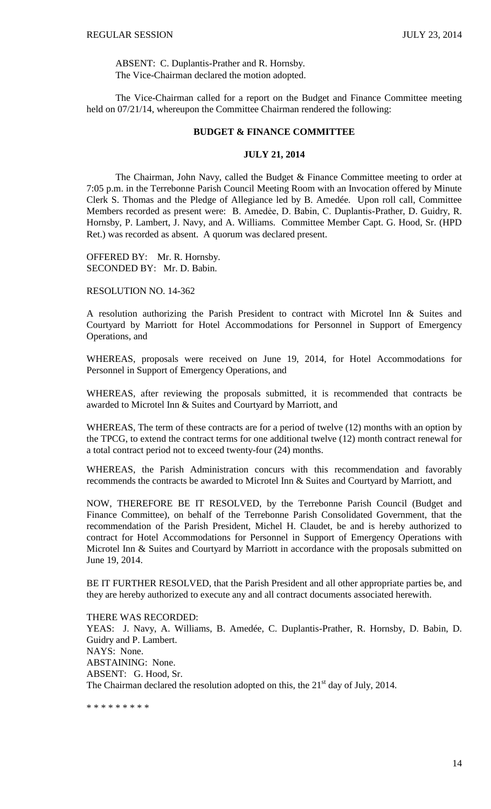ABSENT: C. Duplantis-Prather and R. Hornsby. The Vice-Chairman declared the motion adopted.

The Vice-Chairman called for a report on the Budget and Finance Committee meeting held on 07/21/14, whereupon the Committee Chairman rendered the following:

## **BUDGET & FINANCE COMMITTEE**

### **JULY 21, 2014**

The Chairman, John Navy, called the Budget & Finance Committee meeting to order at 7:05 p.m. in the Terrebonne Parish Council Meeting Room with an Invocation offered by Minute Clerk S. Thomas and the Pledge of Allegiance led by B. Amedée. Upon roll call, Committee Members recorded as present were: B. Amedée, D. Babin, C. Duplantis-Prather, D. Guidry, R. Hornsby, P. Lambert, J. Navy, and A. Williams. Committee Member Capt. G. Hood, Sr. (HPD Ret.) was recorded as absent. A quorum was declared present.

OFFERED BY: Mr. R. Hornsby. SECONDED BY: Mr. D. Babin.

RESOLUTION NO. 14-362

A resolution authorizing the Parish President to contract with Microtel Inn & Suites and Courtyard by Marriott for Hotel Accommodations for Personnel in Support of Emergency Operations, and

WHEREAS, proposals were received on June 19, 2014, for Hotel Accommodations for Personnel in Support of Emergency Operations, and

WHEREAS, after reviewing the proposals submitted, it is recommended that contracts be awarded to Microtel Inn & Suites and Courtyard by Marriott, and

WHEREAS, The term of these contracts are for a period of twelve (12) months with an option by the TPCG, to extend the contract terms for one additional twelve (12) month contract renewal for a total contract period not to exceed twenty-four (24) months.

WHEREAS, the Parish Administration concurs with this recommendation and favorably recommends the contracts be awarded to Microtel Inn & Suites and Courtyard by Marriott, and

NOW, THEREFORE BE IT RESOLVED, by the Terrebonne Parish Council (Budget and Finance Committee), on behalf of the Terrebonne Parish Consolidated Government, that the recommendation of the Parish President, Michel H. Claudet, be and is hereby authorized to contract for Hotel Accommodations for Personnel in Support of Emergency Operations with Microtel Inn & Suites and Courtyard by Marriott in accordance with the proposals submitted on June 19, 2014.

BE IT FURTHER RESOLVED, that the Parish President and all other appropriate parties be, and they are hereby authorized to execute any and all contract documents associated herewith.

THERE WAS RECORDED: YEAS: J. Navy, A. Williams, B. Amedée, C. Duplantis-Prather, R. Hornsby, D. Babin, D. Guidry and P. Lambert. NAYS: None. ABSTAINING: None.

ABSENT: G. Hood, Sr.

The Chairman declared the resolution adopted on this, the  $21<sup>st</sup>$  day of July, 2014.

\* \* \* \* \* \* \* \* \*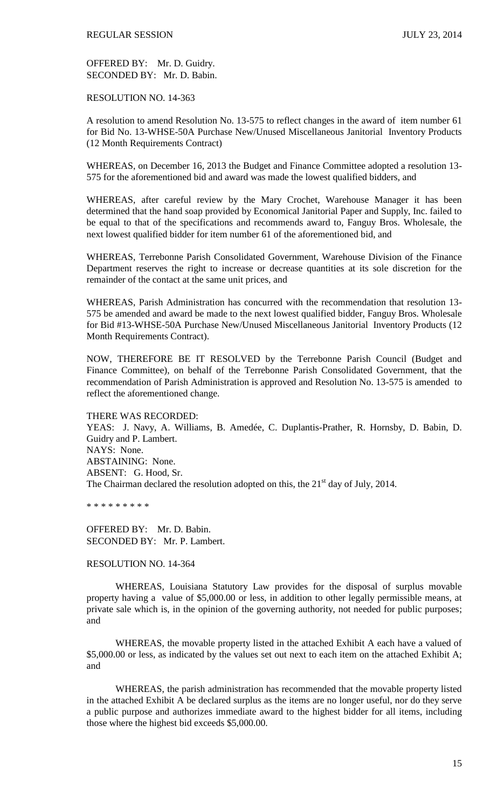OFFERED BY: Mr. D. Guidry. SECONDED BY: Mr. D. Babin.

RESOLUTION NO. 14-363

A resolution to amend Resolution No. 13-575 to reflect changes in the award of item number 61 for Bid No. 13-WHSE-50A Purchase New/Unused Miscellaneous Janitorial Inventory Products (12 Month Requirements Contract)

WHEREAS, on December 16, 2013 the Budget and Finance Committee adopted a resolution 13- 575 for the aforementioned bid and award was made the lowest qualified bidders, and

WHEREAS, after careful review by the Mary Crochet, Warehouse Manager it has been determined that the hand soap provided by Economical Janitorial Paper and Supply, Inc. failed to be equal to that of the specifications and recommends award to, Fanguy Bros. Wholesale, the next lowest qualified bidder for item number 61 of the aforementioned bid, and

WHEREAS, Terrebonne Parish Consolidated Government, Warehouse Division of the Finance Department reserves the right to increase or decrease quantities at its sole discretion for the remainder of the contact at the same unit prices, and

WHEREAS, Parish Administration has concurred with the recommendation that resolution 13- 575 be amended and award be made to the next lowest qualified bidder, Fanguy Bros. Wholesale for Bid #13-WHSE-50A Purchase New/Unused Miscellaneous Janitorial Inventory Products (12 Month Requirements Contract).

NOW, THEREFORE BE IT RESOLVED by the Terrebonne Parish Council (Budget and Finance Committee), on behalf of the Terrebonne Parish Consolidated Government, that the recommendation of Parish Administration is approved and Resolution No. 13-575 is amended to reflect the aforementioned change.

THERE WAS RECORDED:

YEAS: J. Navy, A. Williams, B. Amedée, C. Duplantis-Prather, R. Hornsby, D. Babin, D. Guidry and P. Lambert. NAYS: None. ABSTAINING: None. ABSENT: G. Hood, Sr. The Chairman declared the resolution adopted on this, the 21<sup>st</sup> day of July, 2014.

\* \* \* \* \* \* \* \* \*

OFFERED BY: Mr. D. Babin. SECONDED BY: Mr. P. Lambert.

RESOLUTION NO. 14-364

WHEREAS, Louisiana Statutory Law provides for the disposal of surplus movable property having a value of \$5,000.00 or less, in addition to other legally permissible means, at private sale which is, in the opinion of the governing authority, not needed for public purposes; and

WHEREAS, the movable property listed in the attached Exhibit A each have a valued of \$5,000.00 or less, as indicated by the values set out next to each item on the attached Exhibit A; and

WHEREAS, the parish administration has recommended that the movable property listed in the attached Exhibit A be declared surplus as the items are no longer useful, nor do they serve a public purpose and authorizes immediate award to the highest bidder for all items, including those where the highest bid exceeds \$5,000.00.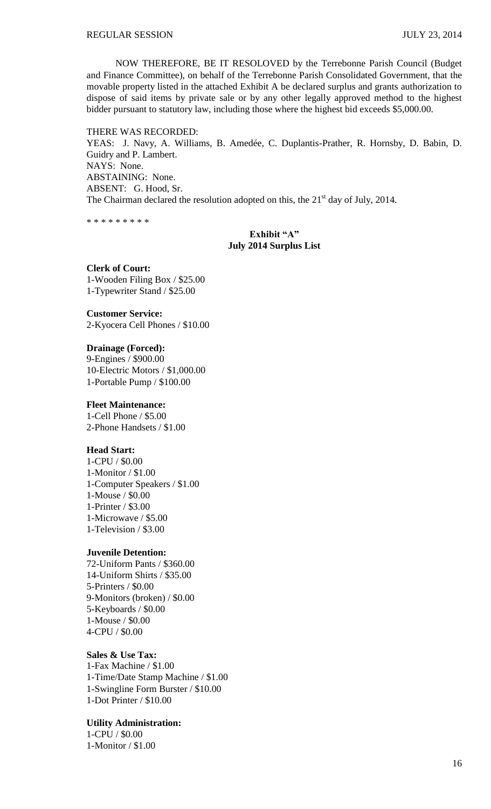NOW THEREFORE, BE IT RESOLOVED by the Terrebonne Parish Council (Budget and Finance Committee), on behalf of the Terrebonne Parish Consolidated Government, that the movable property listed in the attached Exhibit A be declared surplus and grants authorization to dispose of said items by private sale or by any other legally approved method to the highest bidder pursuant to statutory law, including those where the highest bid exceeds \$5,000.00.

#### THERE WAS RECORDED:

YEAS: J. Navy, A. Williams, B. Amedée, C. Duplantis-Prather, R. Hornsby, D. Babin, D. Guidry and P. Lambert. NAYS: None. ABSTAINING: None. ABSENT: G. Hood, Sr. The Chairman declared the resolution adopted on this, the  $21<sup>st</sup>$  day of July, 2014.

\* \* \* \* \* \* \* \* \*

## **Exhibit "A" July 2014 Surplus List**

**Clerk of Court:** 1-Wooden Filing Box / \$25.00 1-Typewriter Stand / \$25.00

**Customer Service:** 2-Kyocera Cell Phones / \$10.00

**Drainage (Forced):** 9-Engines / \$900.00 10-Electric Motors / \$1,000.00 1-Portable Pump / \$100.00

## **Fleet Maintenance:**

1-Cell Phone / \$5.00 2-Phone Handsets / \$1.00

### **Head Start:**

1-CPU / \$0.00 1-Monitor / \$1.00 1-Computer Speakers / \$1.00 1-Mouse / \$0.00 1-Printer / \$3.00 1-Microwave / \$5.00 1-Television / \$3.00

#### **Juvenile Detention:**

72-Uniform Pants / \$360.00 14-Uniform Shirts / \$35.00 5-Printers / \$0.00 9-Monitors (broken) / \$0.00 5-Keyboards / \$0.00 1-Mouse / \$0.00 4-CPU / \$0.00

## **Sales & Use Tax:**

1-Fax Machine / \$1.00 1-Time/Date Stamp Machine / \$1.00 1-Swingline Form Burster / \$10.00 1-Dot Printer / \$10.00

## **Utility Administration:**

1-CPU / \$0.00 1-Monitor / \$1.00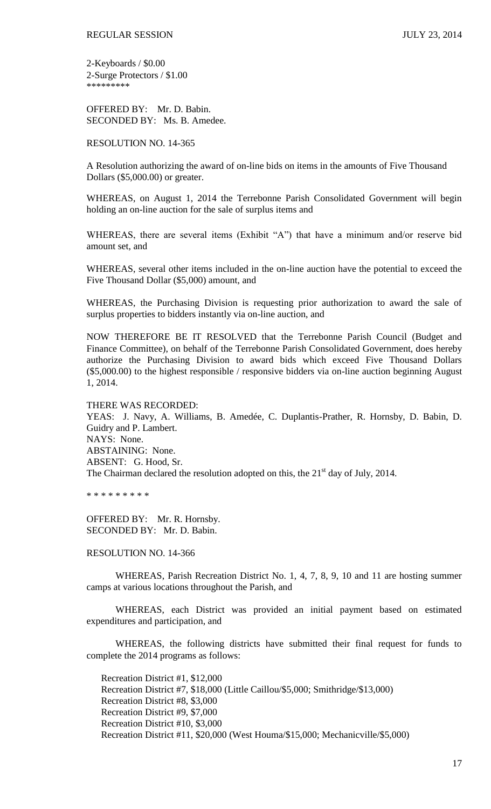2-Keyboards / \$0.00 2-Surge Protectors / \$1.00 \*\*\*\*\*\*\*\*\*

OFFERED BY: Mr. D. Babin. SECONDED BY: Ms. B. Amedee.

RESOLUTION NO. 14-365

A Resolution authorizing the award of on-line bids on items in the amounts of Five Thousand Dollars (\$5,000.00) or greater.

WHEREAS, on August 1, 2014 the Terrebonne Parish Consolidated Government will begin holding an on-line auction for the sale of surplus items and

WHEREAS, there are several items (Exhibit "A") that have a minimum and/or reserve bid amount set, and

WHEREAS, several other items included in the on-line auction have the potential to exceed the Five Thousand Dollar (\$5,000) amount, and

WHEREAS, the Purchasing Division is requesting prior authorization to award the sale of surplus properties to bidders instantly via on-line auction, and

NOW THEREFORE BE IT RESOLVED that the Terrebonne Parish Council (Budget and Finance Committee), on behalf of the Terrebonne Parish Consolidated Government, does hereby authorize the Purchasing Division to award bids which exceed Five Thousand Dollars (\$5,000.00) to the highest responsible / responsive bidders via on-line auction beginning August 1, 2014.

THERE WAS RECORDED: YEAS: J. Navy, A. Williams, B. Amedée, C. Duplantis-Prather, R. Hornsby, D. Babin, D. Guidry and P. Lambert. NAYS: None. ABSTAINING: None. ABSENT: G. Hood, Sr. The Chairman declared the resolution adopted on this, the  $21<sup>st</sup>$  day of July, 2014.

\* \* \* \* \* \* \* \*

OFFERED BY: Mr. R. Hornsby. SECONDED BY: Mr. D. Babin.

RESOLUTION NO. 14-366

WHEREAS, Parish Recreation District No. 1, 4, 7, 8, 9, 10 and 11 are hosting summer camps at various locations throughout the Parish, and

WHEREAS, each District was provided an initial payment based on estimated expenditures and participation, and

WHEREAS, the following districts have submitted their final request for funds to complete the 2014 programs as follows:

Recreation District #1, \$12,000 Recreation District #7, \$18,000 (Little Caillou/\$5,000; Smithridge/\$13,000) Recreation District #8, \$3,000 Recreation District #9, \$7,000 Recreation District #10, \$3,000 Recreation District #11, \$20,000 (West Houma/\$15,000; Mechanicville/\$5,000)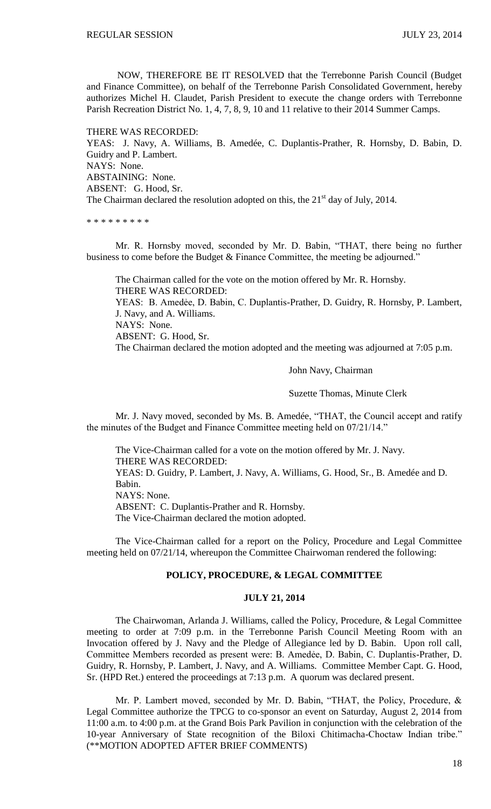NOW, THEREFORE BE IT RESOLVED that the Terrebonne Parish Council (Budget and Finance Committee), on behalf of the Terrebonne Parish Consolidated Government, hereby authorizes Michel H. Claudet, Parish President to execute the change orders with Terrebonne Parish Recreation District No. 1, 4, 7, 8, 9, 10 and 11 relative to their 2014 Summer Camps.

THERE WAS RECORDED: YEAS: J. Navy, A. Williams, B. Amedée, C. Duplantis-Prather, R. Hornsby, D. Babin, D. Guidry and P. Lambert. NAYS: None. ABSTAINING: None. ABSENT: G. Hood, Sr. The Chairman declared the resolution adopted on this, the  $21<sup>st</sup>$  day of July, 2014.

\* \* \* \* \* \* \* \* \*

Mr. R. Hornsby moved, seconded by Mr. D. Babin, "THAT, there being no further business to come before the Budget & Finance Committee, the meeting be adjourned."

The Chairman called for the vote on the motion offered by Mr. R. Hornsby. THERE WAS RECORDED: YEAS: B. Amedẻe, D. Babin, C. Duplantis-Prather, D. Guidry, R. Hornsby, P. Lambert, J. Navy, and A. Williams. NAYS: None. ABSENT: G. Hood, Sr. The Chairman declared the motion adopted and the meeting was adjourned at 7:05 p.m.

John Navy, Chairman

Suzette Thomas, Minute Clerk

Mr. J. Navy moved, seconded by Ms. B. Amedée, "THAT, the Council accept and ratify the minutes of the Budget and Finance Committee meeting held on 07/21/14."

The Vice-Chairman called for a vote on the motion offered by Mr. J. Navy. THERE WAS RECORDED: YEAS: D. Guidry, P. Lambert, J. Navy, A. Williams, G. Hood, Sr., B. Amedée and D. Babin. NAYS: None. ABSENT: C. Duplantis-Prather and R. Hornsby. The Vice-Chairman declared the motion adopted.

The Vice-Chairman called for a report on the Policy, Procedure and Legal Committee meeting held on 07/21/14, whereupon the Committee Chairwoman rendered the following:

#### **POLICY, PROCEDURE, & LEGAL COMMITTEE**

#### **JULY 21, 2014**

The Chairwoman, Arlanda J. Williams, called the Policy, Procedure, & Legal Committee meeting to order at 7:09 p.m. in the Terrebonne Parish Council Meeting Room with an Invocation offered by J. Navy and the Pledge of Allegiance led by D. Babin. Upon roll call, Committee Members recorded as present were: B. Amedẻe, D. Babin, C. Duplantis-Prather, D. Guidry, R. Hornsby, P. Lambert, J. Navy, and A. Williams. Committee Member Capt. G. Hood, Sr. (HPD Ret.) entered the proceedings at 7:13 p.m. A quorum was declared present.

Mr. P. Lambert moved, seconded by Mr. D. Babin, "THAT, the Policy, Procedure, & Legal Committee authorize the TPCG to co-sponsor an event on Saturday, August 2, 2014 from 11:00 a.m. to 4:00 p.m. at the Grand Bois Park Pavilion in conjunction with the celebration of the 10-year Anniversary of State recognition of the Biloxi Chitimacha-Choctaw Indian tribe." (\*\*MOTION ADOPTED AFTER BRIEF COMMENTS)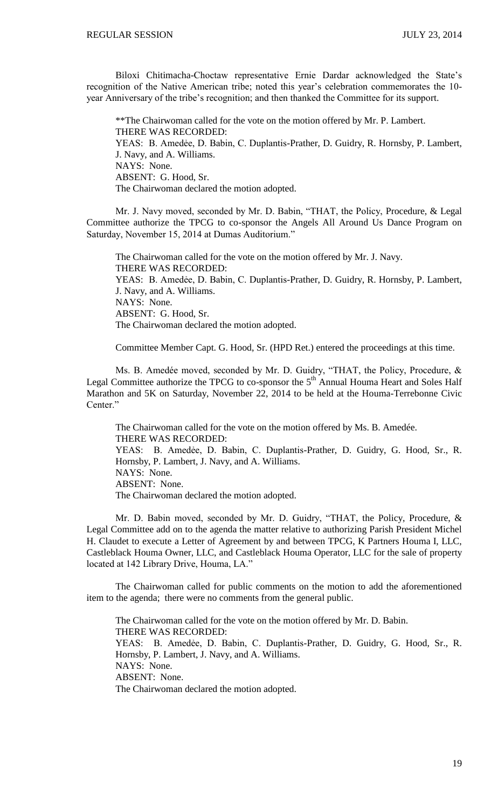Biloxi Chitimacha-Choctaw representative Ernie Dardar acknowledged the State's recognition of the Native American tribe; noted this year's celebration commemorates the 10 year Anniversary of the tribe's recognition; and then thanked the Committee for its support.

\*\*The Chairwoman called for the vote on the motion offered by Mr. P. Lambert. THERE WAS RECORDED: YEAS: B. Amedẻe, D. Babin, C. Duplantis-Prather, D. Guidry, R. Hornsby, P. Lambert, J. Navy, and A. Williams. NAYS: None. ABSENT: G. Hood, Sr. The Chairwoman declared the motion adopted.

Mr. J. Navy moved, seconded by Mr. D. Babin, "THAT, the Policy, Procedure, & Legal Committee authorize the TPCG to co-sponsor the Angels All Around Us Dance Program on Saturday, November 15, 2014 at Dumas Auditorium."

The Chairwoman called for the vote on the motion offered by Mr. J. Navy. THERE WAS RECORDED: YEAS: B. Amedẻe, D. Babin, C. Duplantis-Prather, D. Guidry, R. Hornsby, P. Lambert, J. Navy, and A. Williams. NAYS: None. ABSENT: G. Hood, Sr. The Chairwoman declared the motion adopted.

Committee Member Capt. G. Hood, Sr. (HPD Ret.) entered the proceedings at this time.

Ms. B. Amedée moved, seconded by Mr. D. Guidry, "THAT, the Policy, Procedure, & Legal Committee authorize the TPCG to co-sponsor the  $5<sup>th</sup>$  Annual Houma Heart and Soles Half Marathon and 5K on Saturday, November 22, 2014 to be held at the Houma-Terrebonne Civic Center."

The Chairwoman called for the vote on the motion offered by Ms. B. Amedée. THERE WAS RECORDED: YEAS: B. Amedẻe, D. Babin, C. Duplantis-Prather, D. Guidry, G. Hood, Sr., R. Hornsby, P. Lambert, J. Navy, and A. Williams. NAYS: None. ABSENT: None. The Chairwoman declared the motion adopted.

Mr. D. Babin moved, seconded by Mr. D. Guidry, "THAT, the Policy, Procedure, & Legal Committee add on to the agenda the matter relative to authorizing Parish President Michel H. Claudet to execute a Letter of Agreement by and between TPCG, K Partners Houma I, LLC, Castleblack Houma Owner, LLC, and Castleblack Houma Operator, LLC for the sale of property located at 142 Library Drive, Houma, LA."

The Chairwoman called for public comments on the motion to add the aforementioned item to the agenda; there were no comments from the general public.

The Chairwoman called for the vote on the motion offered by Mr. D. Babin. THERE WAS RECORDED: YEAS: B. Amedẻe, D. Babin, C. Duplantis-Prather, D. Guidry, G. Hood, Sr., R. Hornsby, P. Lambert, J. Navy, and A. Williams. NAYS: None. ABSENT: None. The Chairwoman declared the motion adopted.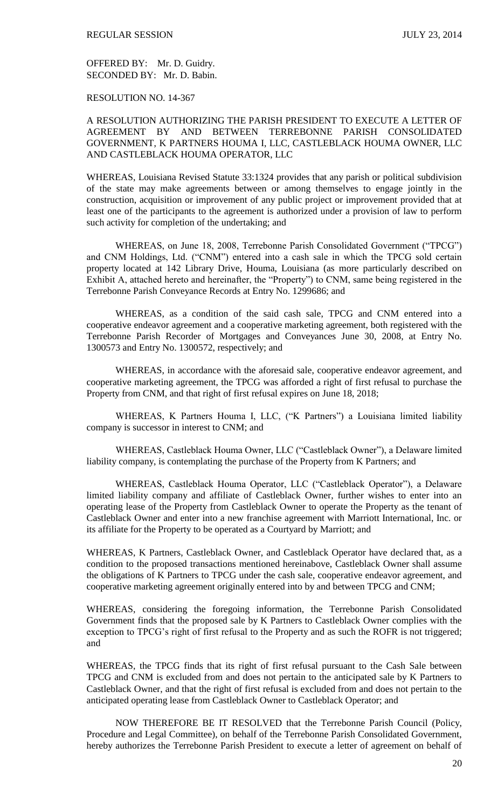OFFERED BY: Mr. D. Guidry. SECONDED BY: Mr. D. Babin.

RESOLUTION NO. 14-367

## A RESOLUTION AUTHORIZING THE PARISH PRESIDENT TO EXECUTE A LETTER OF AGREEMENT BY AND BETWEEN TERREBONNE PARISH CONSOLIDATED GOVERNMENT, K PARTNERS HOUMA I, LLC, CASTLEBLACK HOUMA OWNER, LLC AND CASTLEBLACK HOUMA OPERATOR, LLC

WHEREAS, Louisiana Revised Statute 33:1324 provides that any parish or political subdivision of the state may make agreements between or among themselves to engage jointly in the construction, acquisition or improvement of any public project or improvement provided that at least one of the participants to the agreement is authorized under a provision of law to perform such activity for completion of the undertaking; and

WHEREAS, on June 18, 2008, Terrebonne Parish Consolidated Government ("TPCG") and CNM Holdings, Ltd. ("CNM") entered into a cash sale in which the TPCG sold certain property located at 142 Library Drive, Houma, Louisiana (as more particularly described on Exhibit A, attached hereto and hereinafter, the "Property") to CNM, same being registered in the Terrebonne Parish Conveyance Records at Entry No. 1299686; and

WHEREAS, as a condition of the said cash sale, TPCG and CNM entered into a cooperative endeavor agreement and a cooperative marketing agreement, both registered with the Terrebonne Parish Recorder of Mortgages and Conveyances June 30, 2008, at Entry No. 1300573 and Entry No. 1300572, respectively; and

WHEREAS, in accordance with the aforesaid sale, cooperative endeavor agreement, and cooperative marketing agreement, the TPCG was afforded a right of first refusal to purchase the Property from CNM, and that right of first refusal expires on June 18, 2018;

WHEREAS, K Partners Houma I, LLC, ("K Partners") a Louisiana limited liability company is successor in interest to CNM; and

WHEREAS, Castleblack Houma Owner, LLC ("Castleblack Owner"), a Delaware limited liability company, is contemplating the purchase of the Property from K Partners; and

WHEREAS, Castleblack Houma Operator, LLC ("Castleblack Operator"), a Delaware limited liability company and affiliate of Castleblack Owner, further wishes to enter into an operating lease of the Property from Castleblack Owner to operate the Property as the tenant of Castleblack Owner and enter into a new franchise agreement with Marriott International, Inc. or its affiliate for the Property to be operated as a Courtyard by Marriott; and

WHEREAS, K Partners, Castleblack Owner, and Castleblack Operator have declared that, as a condition to the proposed transactions mentioned hereinabove, Castleblack Owner shall assume the obligations of K Partners to TPCG under the cash sale, cooperative endeavor agreement, and cooperative marketing agreement originally entered into by and between TPCG and CNM;

WHEREAS, considering the foregoing information, the Terrebonne Parish Consolidated Government finds that the proposed sale by K Partners to Castleblack Owner complies with the exception to TPCG's right of first refusal to the Property and as such the ROFR is not triggered; and

WHEREAS, the TPCG finds that its right of first refusal pursuant to the Cash Sale between TPCG and CNM is excluded from and does not pertain to the anticipated sale by K Partners to Castleblack Owner, and that the right of first refusal is excluded from and does not pertain to the anticipated operating lease from Castleblack Owner to Castleblack Operator; and

NOW THEREFORE BE IT RESOLVED that the Terrebonne Parish Council (Policy, Procedure and Legal Committee), on behalf of the Terrebonne Parish Consolidated Government, hereby authorizes the Terrebonne Parish President to execute a letter of agreement on behalf of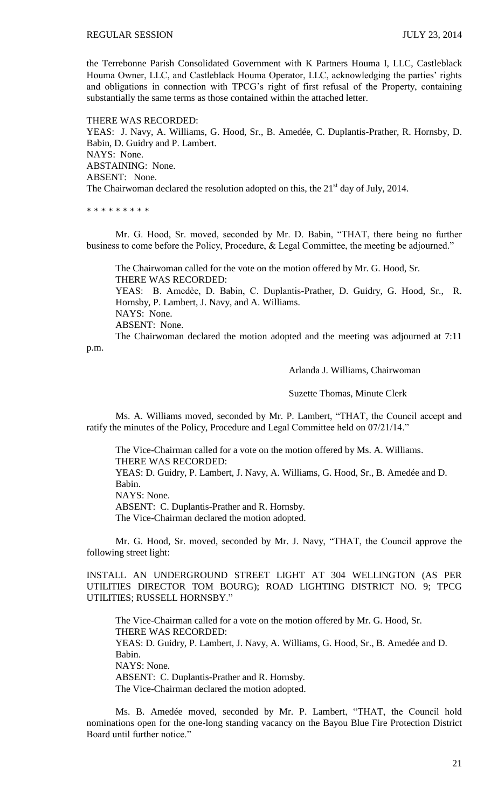the Terrebonne Parish Consolidated Government with K Partners Houma I, LLC, Castleblack Houma Owner, LLC, and Castleblack Houma Operator, LLC, acknowledging the parties' rights and obligations in connection with TPCG's right of first refusal of the Property, containing substantially the same terms as those contained within the attached letter.

THERE WAS RECORDED: YEAS: J. Navy, A. Williams, G. Hood, Sr., B. Amedée, C. Duplantis-Prather, R. Hornsby, D. Babin, D. Guidry and P. Lambert. NAYS: None. ABSTAINING: None. ABSENT: None. The Chairwoman declared the resolution adopted on this, the 21<sup>st</sup> day of July, 2014.

\* \* \* \* \* \* \* \* \*

Mr. G. Hood, Sr. moved, seconded by Mr. D. Babin, "THAT, there being no further business to come before the Policy, Procedure, & Legal Committee, the meeting be adjourned."

The Chairwoman called for the vote on the motion offered by Mr. G. Hood, Sr. THERE WAS RECORDED: YEAS: B. Amedẻe, D. Babin, C. Duplantis-Prather, D. Guidry, G. Hood, Sr., R. Hornsby, P. Lambert, J. Navy, and A. Williams. NAYS: None. ABSENT: None. The Chairwoman declared the motion adopted and the meeting was adjourned at 7:11

p.m.

Arlanda J. Williams, Chairwoman

Suzette Thomas, Minute Clerk

Ms. A. Williams moved, seconded by Mr. P. Lambert, "THAT, the Council accept and ratify the minutes of the Policy, Procedure and Legal Committee held on 07/21/14."

The Vice-Chairman called for a vote on the motion offered by Ms. A. Williams. THERE WAS RECORDED:

YEAS: D. Guidry, P. Lambert, J. Navy, A. Williams, G. Hood, Sr., B. Amedée and D. Babin.

NAYS: None.

ABSENT: C. Duplantis-Prather and R. Hornsby.

The Vice-Chairman declared the motion adopted.

Mr. G. Hood, Sr. moved, seconded by Mr. J. Navy, "THAT, the Council approve the following street light:

INSTALL AN UNDERGROUND STREET LIGHT AT 304 WELLINGTON (AS PER UTILITIES DIRECTOR TOM BOURG); ROAD LIGHTING DISTRICT NO. 9; TPCG UTILITIES; RUSSELL HORNSBY."

The Vice-Chairman called for a vote on the motion offered by Mr. G. Hood, Sr. THERE WAS RECORDED: YEAS: D. Guidry, P. Lambert, J. Navy, A. Williams, G. Hood, Sr., B. Amedée and D. Babin. NAYS: None. ABSENT: C. Duplantis-Prather and R. Hornsby. The Vice-Chairman declared the motion adopted.

Ms. B. Amedée moved, seconded by Mr. P. Lambert, "THAT, the Council hold nominations open for the one-long standing vacancy on the Bayou Blue Fire Protection District Board until further notice."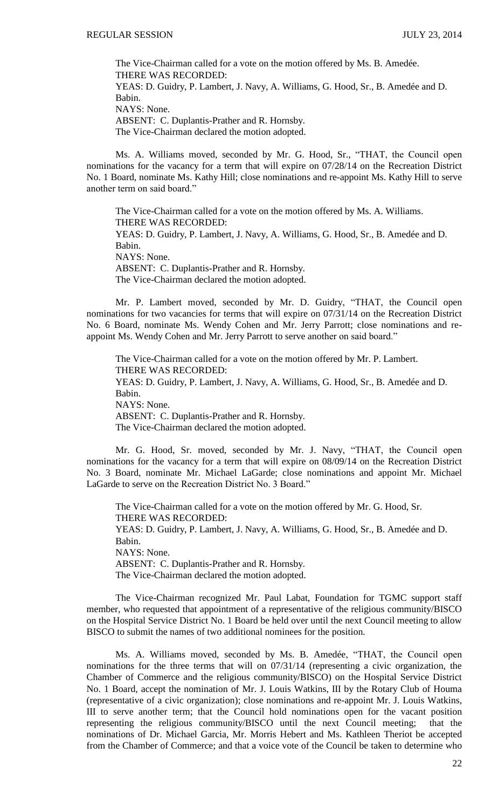The Vice-Chairman called for a vote on the motion offered by Ms. B. Amedée. THERE WAS RECORDED: YEAS: D. Guidry, P. Lambert, J. Navy, A. Williams, G. Hood, Sr., B. Amedée and D. Babin. NAYS: None. ABSENT: C. Duplantis-Prather and R. Hornsby. The Vice-Chairman declared the motion adopted.

Ms. A. Williams moved, seconded by Mr. G. Hood, Sr., "THAT, the Council open nominations for the vacancy for a term that will expire on 07/28/14 on the Recreation District No. 1 Board, nominate Ms. Kathy Hill; close nominations and re-appoint Ms. Kathy Hill to serve another term on said board."

The Vice-Chairman called for a vote on the motion offered by Ms. A. Williams. THERE WAS RECORDED: YEAS: D. Guidry, P. Lambert, J. Navy, A. Williams, G. Hood, Sr., B. Amedée and D. Babin. NAYS: None. ABSENT: C. Duplantis-Prather and R. Hornsby. The Vice-Chairman declared the motion adopted.

Mr. P. Lambert moved, seconded by Mr. D. Guidry, "THAT, the Council open nominations for two vacancies for terms that will expire on 07/31/14 on the Recreation District No. 6 Board, nominate Ms. Wendy Cohen and Mr. Jerry Parrott; close nominations and reappoint Ms. Wendy Cohen and Mr. Jerry Parrott to serve another on said board."

The Vice-Chairman called for a vote on the motion offered by Mr. P. Lambert. THERE WAS RECORDED: YEAS: D. Guidry, P. Lambert, J. Navy, A. Williams, G. Hood, Sr., B. Amedée and D. Babin. NAYS: None. ABSENT: C. Duplantis-Prather and R. Hornsby. The Vice-Chairman declared the motion adopted.

Mr. G. Hood, Sr. moved, seconded by Mr. J. Navy, "THAT, the Council open nominations for the vacancy for a term that will expire on 08/09/14 on the Recreation District No. 3 Board, nominate Mr. Michael LaGarde; close nominations and appoint Mr. Michael LaGarde to serve on the Recreation District No. 3 Board."

The Vice-Chairman called for a vote on the motion offered by Mr. G. Hood, Sr. THERE WAS RECORDED: YEAS: D. Guidry, P. Lambert, J. Navy, A. Williams, G. Hood, Sr., B. Amedée and D. Babin. NAYS: None. ABSENT: C. Duplantis-Prather and R. Hornsby. The Vice-Chairman declared the motion adopted.

The Vice-Chairman recognized Mr. Paul Labat, Foundation for TGMC support staff member, who requested that appointment of a representative of the religious community/BISCO on the Hospital Service District No. 1 Board be held over until the next Council meeting to allow BISCO to submit the names of two additional nominees for the position.

Ms. A. Williams moved, seconded by Ms. B. Amedée, "THAT, the Council open nominations for the three terms that will on 07/31/14 (representing a civic organization, the Chamber of Commerce and the religious community/BISCO) on the Hospital Service District No. 1 Board, accept the nomination of Mr. J. Louis Watkins, III by the Rotary Club of Houma (representative of a civic organization); close nominations and re-appoint Mr. J. Louis Watkins, III to serve another term; that the Council hold nominations open for the vacant position representing the religious community/BISCO until the next Council meeting; that the nominations of Dr. Michael Garcia, Mr. Morris Hebert and Ms. Kathleen Theriot be accepted from the Chamber of Commerce; and that a voice vote of the Council be taken to determine who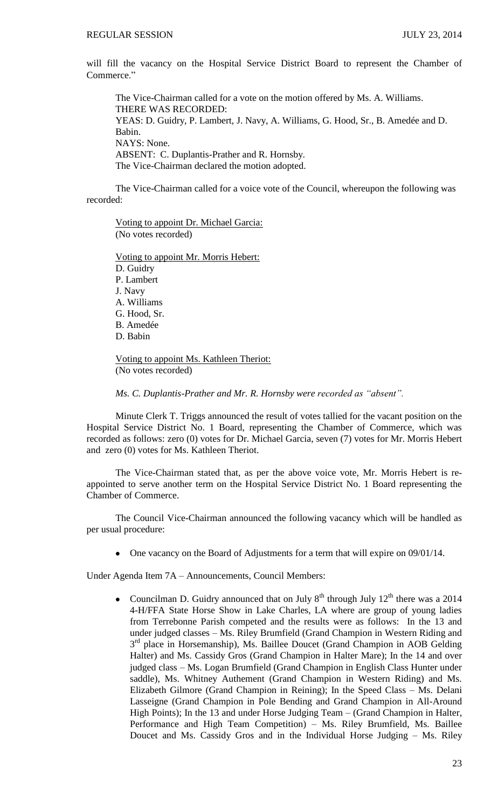#### REGULAR SESSION JULY 23, 2014

will fill the vacancy on the Hospital Service District Board to represent the Chamber of Commerce."

The Vice-Chairman called for a vote on the motion offered by Ms. A. Williams. THERE WAS RECORDED: YEAS: D. Guidry, P. Lambert, J. Navy, A. Williams, G. Hood, Sr., B. Amedée and D. Babin. NAYS: None. ABSENT: C. Duplantis-Prather and R. Hornsby. The Vice-Chairman declared the motion adopted.

The Vice-Chairman called for a voice vote of the Council, whereupon the following was recorded:

Voting to appoint Dr. Michael Garcia: (No votes recorded)

Voting to appoint Mr. Morris Hebert: D. Guidry P. Lambert J. Navy A. Williams G. Hood, Sr. B. Amedée D. Babin

Voting to appoint Ms. Kathleen Theriot: (No votes recorded)

*Ms. C. Duplantis-Prather and Mr. R. Hornsby were recorded as "absent".*

Minute Clerk T. Triggs announced the result of votes tallied for the vacant position on the Hospital Service District No. 1 Board, representing the Chamber of Commerce, which was recorded as follows: zero (0) votes for Dr. Michael Garcia, seven (7) votes for Mr. Morris Hebert and zero (0) votes for Ms. Kathleen Theriot.

The Vice-Chairman stated that, as per the above voice vote, Mr. Morris Hebert is reappointed to serve another term on the Hospital Service District No. 1 Board representing the Chamber of Commerce.

The Council Vice-Chairman announced the following vacancy which will be handled as per usual procedure:

• One vacancy on the Board of Adjustments for a term that will expire on 09/01/14.

Under Agenda Item 7A – Announcements, Council Members:

Councilman D. Guidry announced that on July  $8<sup>th</sup>$  through July  $12<sup>th</sup>$  there was a 2014  $\bullet$ 4-H/FFA State Horse Show in Lake Charles, LA where are group of young ladies from Terrebonne Parish competed and the results were as follows: In the 13 and under judged classes – Ms. Riley Brumfield (Grand Champion in Western Riding and 3<sup>rd</sup> place in Horsemanship), Ms. Baillee Doucet (Grand Champion in AOB Gelding Halter) and Ms. Cassidy Gros (Grand Champion in Halter Mare); In the 14 and over judged class – Ms. Logan Brumfield (Grand Champion in English Class Hunter under saddle), Ms. Whitney Authement (Grand Champion in Western Riding) and Ms. Elizabeth Gilmore (Grand Champion in Reining); In the Speed Class – Ms. Delani Lasseigne (Grand Champion in Pole Bending and Grand Champion in All-Around High Points); In the 13 and under Horse Judging Team – (Grand Champion in Halter, Performance and High Team Competition) – Ms. Riley Brumfield, Ms. Baillee Doucet and Ms. Cassidy Gros and in the Individual Horse Judging – Ms. Riley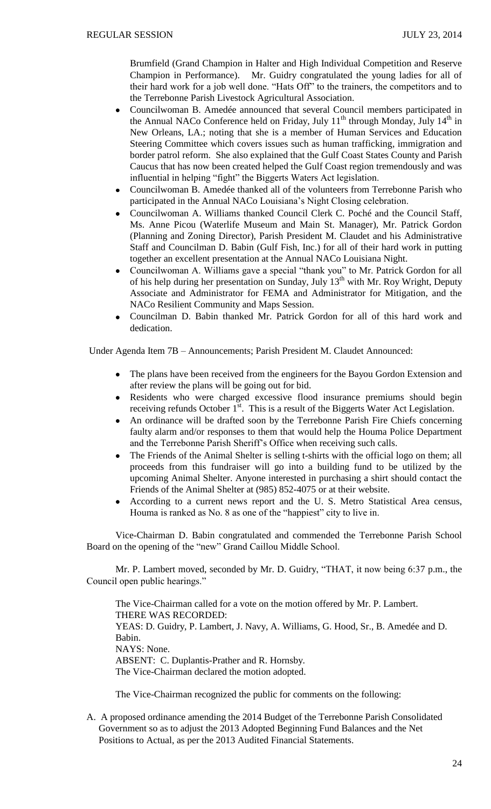Brumfield (Grand Champion in Halter and High Individual Competition and Reserve Champion in Performance). Mr. Guidry congratulated the young ladies for all of their hard work for a job well done. "Hats Off" to the trainers, the competitors and to the Terrebonne Parish Livestock Agricultural Association.

- Councilwoman B. Amedée announced that several Council members participated in the Annual NACo Conference held on Friday, July  $11<sup>th</sup>$  through Monday, July  $14<sup>th</sup>$  in New Orleans, LA.; noting that she is a member of Human Services and Education Steering Committee which covers issues such as human trafficking, immigration and border patrol reform. She also explained that the Gulf Coast States County and Parish Caucus that has now been created helped the Gulf Coast region tremendously and was influential in helping "fight" the Biggerts Waters Act legislation.
- Councilwoman B. Amedée thanked all of the volunteers from Terrebonne Parish who participated in the Annual NACo Louisiana's Night Closing celebration.
- Councilwoman A. Williams thanked Council Clerk C. Poché and the Council Staff, Ms. Anne Picou (Waterlife Museum and Main St. Manager), Mr. Patrick Gordon (Planning and Zoning Director), Parish President M. Claudet and his Administrative Staff and Councilman D. Babin (Gulf Fish, Inc.) for all of their hard work in putting together an excellent presentation at the Annual NACo Louisiana Night.
- Councilwoman A. Williams gave a special "thank you" to Mr. Patrick Gordon for all of his help during her presentation on Sunday, July 13<sup>th</sup> with Mr. Roy Wright, Deputy Associate and Administrator for FEMA and Administrator for Mitigation, and the NACo Resilient Community and Maps Session.
- Councilman D. Babin thanked Mr. Patrick Gordon for all of this hard work and  $\bullet$ dedication.

Under Agenda Item 7B – Announcements; Parish President M. Claudet Announced:

- The plans have been received from the engineers for the Bayou Gordon Extension and  $\bullet$ after review the plans will be going out for bid.
- Residents who were charged excessive flood insurance premiums should begin receiving refunds October  $1^{st}$ . This is a result of the Biggerts Water Act Legislation.
- An ordinance will be drafted soon by the Terrebonne Parish Fire Chiefs concerning faulty alarm and/or responses to them that would help the Houma Police Department and the Terrebonne Parish Sheriff's Office when receiving such calls.
- The Friends of the Animal Shelter is selling t-shirts with the official logo on them; all proceeds from this fundraiser will go into a building fund to be utilized by the upcoming Animal Shelter. Anyone interested in purchasing a shirt should contact the Friends of the Animal Shelter at (985) 852-4075 or at their website.
- According to a current news report and the U. S. Metro Statistical Area census, Houma is ranked as No. 8 as one of the "happiest" city to live in.

Vice-Chairman D. Babin congratulated and commended the Terrebonne Parish School Board on the opening of the "new" Grand Caillou Middle School.

Mr. P. Lambert moved, seconded by Mr. D. Guidry, "THAT, it now being 6:37 p.m., the Council open public hearings."

The Vice-Chairman called for a vote on the motion offered by Mr. P. Lambert. THERE WAS RECORDED: YEAS: D. Guidry, P. Lambert, J. Navy, A. Williams, G. Hood, Sr., B. Amedée and D. Babin. NAYS: None. ABSENT: C. Duplantis-Prather and R. Hornsby. The Vice-Chairman declared the motion adopted.

The Vice-Chairman recognized the public for comments on the following:

A. A proposed ordinance amending the 2014 Budget of the Terrebonne Parish Consolidated Government so as to adjust the 2013 Adopted Beginning Fund Balances and the Net Positions to Actual, as per the 2013 Audited Financial Statements.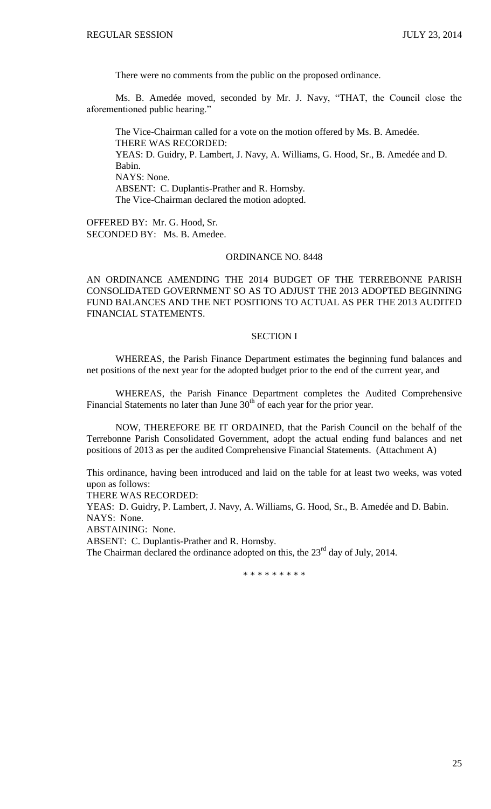There were no comments from the public on the proposed ordinance.

Ms. B. Amedée moved, seconded by Mr. J. Navy, "THAT, the Council close the aforementioned public hearing."

The Vice-Chairman called for a vote on the motion offered by Ms. B. Amedée. THERE WAS RECORDED: YEAS: D. Guidry, P. Lambert, J. Navy, A. Williams, G. Hood, Sr., B. Amedée and D. Babin. NAYS: None. ABSENT: C. Duplantis-Prather and R. Hornsby. The Vice-Chairman declared the motion adopted.

OFFERED BY: Mr. G. Hood, Sr. SECONDED BY: Ms. B. Amedee.

## ORDINANCE NO. 8448

AN ORDINANCE AMENDING THE 2014 BUDGET OF THE TERREBONNE PARISH CONSOLIDATED GOVERNMENT SO AS TO ADJUST THE 2013 ADOPTED BEGINNING FUND BALANCES AND THE NET POSITIONS TO ACTUAL AS PER THE 2013 AUDITED FINANCIAL STATEMENTS.

### SECTION I

WHEREAS, the Parish Finance Department estimates the beginning fund balances and net positions of the next year for the adopted budget prior to the end of the current year, and

WHEREAS, the Parish Finance Department completes the Audited Comprehensive Financial Statements no later than June  $30<sup>th</sup>$  of each year for the prior year.

NOW, THEREFORE BE IT ORDAINED, that the Parish Council on the behalf of the Terrebonne Parish Consolidated Government, adopt the actual ending fund balances and net positions of 2013 as per the audited Comprehensive Financial Statements. (Attachment A)

This ordinance, having been introduced and laid on the table for at least two weeks, was voted upon as follows:

THERE WAS RECORDED:

YEAS: D. Guidry, P. Lambert, J. Navy, A. Williams, G. Hood, Sr., B. Amedée and D. Babin. NAYS: None.

ABSTAINING: None.

ABSENT: C. Duplantis-Prather and R. Hornsby.

The Chairman declared the ordinance adopted on this, the  $23<sup>rd</sup>$  day of July, 2014.

\* \* \* \* \* \* \* \* \*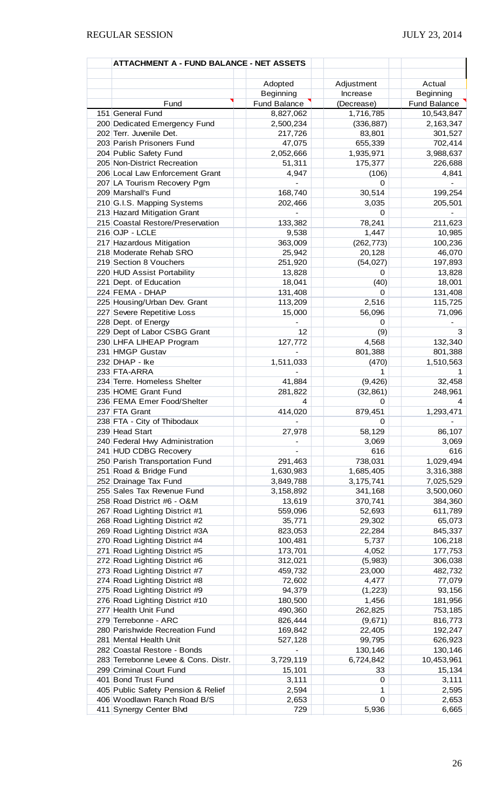|                                     | Adopted             | Adjustment | Actual              |
|-------------------------------------|---------------------|------------|---------------------|
|                                     | Beginning           | Increase   | Beginning           |
| Fund                                | <b>Fund Balance</b> | (Decrease) | <b>Fund Balance</b> |
| 151 General Fund                    | 8,827,062           | 1,716,785  | 10,543,847          |
| 200 Dedicated Emergency Fund        | 2,500,234           | (336, 887) | 2,163,347           |
| 202 Terr. Juvenile Det.             | 217,726             | 83,801     | 301,527             |
| 203 Parish Prisoners Fund           | 47,075              | 655,339    | 702,414             |
| 204 Public Safety Fund              | 2,052,666           | 1,935,971  | 3,988,637           |
| 205 Non-District Recreation         | 51,311              | 175,377    | 226,688             |
| 206 Local Law Enforcement Grant     | 4,947               | (106)      | 4,841               |
| 207 LA Tourism Recovery Pgm         |                     | 0          |                     |
| 209 Marshall's Fund                 | 168,740             | 30,514     |                     |
|                                     |                     |            | 199,254             |
| 210 G.I.S. Mapping Systems          | 202,466             | 3,035      | 205,501             |
| 213 Hazard Mitigation Grant         |                     | 0          |                     |
| 215 Coastal Restore/Preservation    | 133,382             | 78,241     | 211,623             |
| 216 OJP - LCLE                      | 9,538               | 1,447      | 10,985              |
| 217 Hazardous Mitigation            | 363,009             | (262, 773) | 100,236             |
| 218 Moderate Rehab SRO              | 25,942              | 20,128     | 46,070              |
| 219 Section 8 Vouchers              | 251,920             | (54, 027)  | 197,893             |
| 220 HUD Assist Portability          | 13,828              | 0          | 13,828              |
| 221 Dept. of Education              | 18,041              | (40)       | 18,001              |
| 224 FEMA - DHAP                     | 131,408             | 0          | 131,408             |
| 225 Housing/Urban Dev. Grant        | 113,209             | 2,516      | 115,725             |
| 227 Severe Repetitive Loss          | 15,000              | 56,096     | 71,096              |
| 228 Dept. of Energy                 |                     | 0          |                     |
| 229 Dept of Labor CSBG Grant        | 12                  | (9)        | 3                   |
| 230 LHFA LIHEAP Program             | 127,772             | 4,568      | 132,340             |
| 231 HMGP Gustav                     |                     | 801,388    | 801,388             |
| 232 DHAP - Ike                      | 1,511,033           | (470)      | 1,510,563           |
| 233 FTA-ARRA                        |                     | 1          |                     |
| 234 Terre. Homeless Shelter         | 41,884              | (9, 426)   | 32,458              |
| 235 HOME Grant Fund                 | 281,822             | (32, 861)  | 248,961             |
| 236 FEMA Emer Food/Shelter          | 4                   | 0          | 4                   |
| 237 FTA Grant                       | 414,020             | 879,451    | 1,293,471           |
| 238 FTA - City of Thibodaux         |                     | 0          |                     |
| 239 Head Start                      | 27,978              | 58,129     | 86,107              |
| 240 Federal Hwy Administration      |                     | 3,069      | 3,069               |
| 241 HUD CDBG Recovery               |                     | 616        | 616                 |
| 250 Parish Transportation Fund      | 291,463             | 738,031    | 1,029,494           |
| 251 Road & Bridge Fund              | 1,630,983           | 1,685,405  | 3,316,388           |
| 252 Drainage Tax Fund               | 3,849,788           | 3,175,741  | 7,025,529           |
| 255 Sales Tax Revenue Fund          | 3,158,892           | 341,168    | 3,500,060           |
| 258 Road District #6 - O&M          | 13,619              | 370,741    | 384,360             |
| 267 Road Lighting District #1       | 559,096             | 52,693     |                     |
| 268 Road Lighting District #2       |                     |            | 611,789             |
|                                     | 35,771              | 29,302     | 65,073              |
| 269 Road Lighting District #3A      | 823,053             | 22,284     | 845,337             |
| 270 Road Lighting District #4       | 100,481             | 5,737      | 106,218             |
| 271 Road Lighting District #5       | 173,701             | 4,052      | 177,753             |
| 272 Road Lighting District #6       | 312,021             | (5,983)    | 306,038             |
| 273 Road Lighting District #7       | 459,732             | 23,000     | 482,732             |
| 274 Road Lighting District #8       | 72,602              | 4,477      | 77,079              |
| 275 Road Lighting District #9       | 94,379              | (1, 223)   | 93,156              |
| 276 Road Lighting District #10      | 180,500             | 1,456      | 181,956             |
| 277 Health Unit Fund                | 490,360             | 262,825    | 753,185             |
| 279 Terrebonne - ARC                | 826,444             | (9,671)    | 816,773             |
| 280 Parishwide Recreation Fund      | 169,842             | 22,405     | 192,247             |
| 281 Mental Health Unit              | 527,128             | 99,795     | 626,923             |
| 282 Coastal Restore - Bonds         |                     | 130,146    | 130,146             |
| 283 Terrebonne Levee & Cons. Distr. | 3,729,119           | 6,724,842  | 10,453,961          |
| 299 Criminal Court Fund             | 15,101              | 33         | 15,134              |
| 401 Bond Trust Fund                 | 3,111               | 0          | 3,111               |
| 405 Public Safety Pension & Relief  | 2,594               | 1          | 2,595               |
| 406 Woodlawn Ranch Road B/S         | 2,653               | 0          | 2,653               |
| 411 Synergy Center Blvd             | 729                 | 5,936      | 6,665               |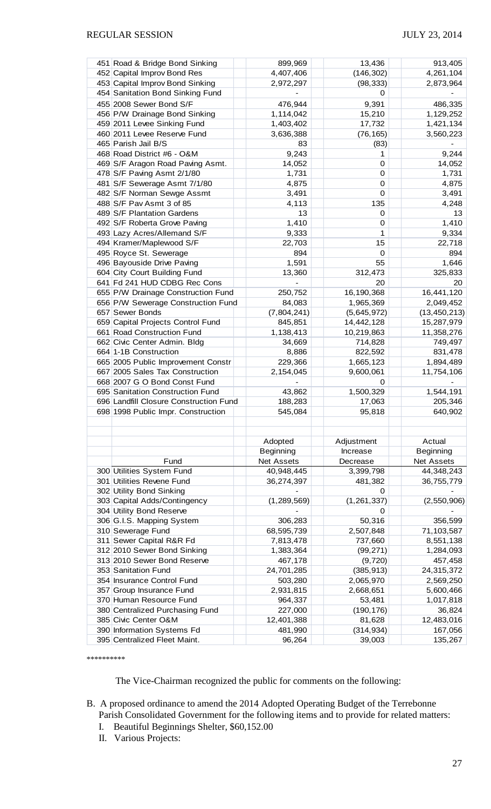| 451 Road & Bridge Bond Sinking         | 899,969           | 13,436        | 913,405        |
|----------------------------------------|-------------------|---------------|----------------|
| 452 Capital Improv Bond Res            | 4,407,406         | (146, 302)    | 4,261,104      |
| 453 Capital Improv Bond Sinking        | 2,972,297         | (98, 333)     | 2,873,964      |
| 454 Sanitation Bond Sinking Fund       |                   | 0             |                |
| 455 2008 Sewer Bond S/F                | 476,944           | 9,391         | 486,335        |
| 456 P/W Drainage Bond Sinking          | 1,114,042         | 15,210        | 1,129,252      |
| 459 2011 Levee Sinking Fund            | 1,403,402         | 17,732        | 1,421,134      |
| 460 2011 Levee Reserve Fund            | 3,636,388         | (76, 165)     | 3,560,223      |
| 465 Parish Jail B/S                    | 83                | (83)          |                |
| 468 Road District #6 - O&M             | 9,243             | 1             | 9,244          |
| 469 S/F Aragon Road Paving Asmt.       | 14,052            | 0             | 14,052         |
| 478 S/F Paving Asmt 2/1/80             | 1,731             | 0             | 1,731          |
| 481 S/F Sewerage Asmt 7/1/80           | 4,875             | 0             | 4,875          |
| 482 S/F Norman Sewge Assmt             | 3,491             | 0             | 3,491          |
| 488 S/F Pav Asmt 3 of 85               | 4,113             | 135           | 4,248          |
| 489 S/F Plantation Gardens             | 13                | 0             | 13             |
| 492 S/F Roberta Grove Paving           | 1,410             | 0             | 1,410          |
| 493 Lazy Acres/Allemand S/F            | 9,333             | 1             | 9,334          |
| 494 Kramer/Maplewood S/F               |                   |               | 22,718         |
| 495 Royce St. Sewerage                 | 22,703<br>894     | 15            | 894            |
|                                        |                   | 0             |                |
| 496 Bayouside Drive Paving             | 1,591             | 55            | 1,646          |
| 604 City Court Building Fund           | 13,360            | 312,473       | 325,833        |
| 641 Fd 241 HUD CDBG Rec Cons           |                   | 20            | 20             |
| 655 P/W Drainage Construction Fund     | 250,752           | 16,190,368    | 16,441,120     |
| 656 P/W Sewerage Construction Fund     | 84,083            | 1,965,369     | 2,049,452      |
| 657 Sewer Bonds                        | (7,804,241)       | (5,645,972)   | (13, 450, 213) |
| 659 Capital Projects Control Fund      | 845,851           | 14,442,128    | 15,287,979     |
| 661 Road Construction Fund             | 1,138,413         | 10,219,863    | 11,358,276     |
| 662 Civic Center Admin. Bldg           | 34,669            | 714,828       | 749,497        |
| 664 1-1B Construction                  | 8,886             | 822,592       | 831,478        |
| 665 2005 Public Improvement Constr     | 229,366           | 1,665,123     | 1,894,489      |
| 667 2005 Sales Tax Construction        | 2,154,045         | 9,600,061     | 11,754,106     |
| 668 2007 G O Bond Const Fund           |                   | 0             |                |
| 695 Sanitation Construction Fund       | 43,862            | 1,500,329     | 1,544,191      |
| 696 Landfill Closure Construction Fund | 188,283           | 17,063        | 205,346        |
| 698 1998 Public Impr. Construction     | 545,084           | 95,818        | 640,902        |
|                                        |                   |               |                |
|                                        | Adopted           | Adjustment    | Actual         |
|                                        | Beginning         | Increase      | Beginning      |
| Fund                                   | <b>Net Assets</b> | Decrease      | Net Assets     |
| 300 Utilities System Fund              | 40,948,445        | 3,399,798     | 44,348,243     |
| 301 Utilities Revene Fund              | 36,274,397        | 481,382       | 36,755,779     |
| 302 Utility Bond Sinking               |                   | 0             |                |
| 303 Capital Adds/Contingency           | (1, 289, 569)     | (1, 261, 337) |                |
| 304 Utility Bond Reserve               |                   | 0             | (2,550,906)    |
| 306 G.I.S. Mapping System              | 306,283           | 50,316        | 356,599        |
| 310 Sewerage Fund                      | 68,595,739        | 2,507,848     | 71,103,587     |
|                                        |                   |               |                |
| 311 Sewer Capital R&R Fd               | 7,813,478         | 737,660       | 8,551,138      |
| 312 2010 Sewer Bond Sinking            | 1,383,364         | (99, 271)     | 1,284,093      |
| 313 2010 Sewer Bond Reserve            | 467,178           | (9,720)       | 457,458        |
| 353 Sanitation Fund                    | 24,701,285        | (385, 913)    | 24,315,372     |
| 354 Insurance Control Fund             | 503,280           | 2,065,970     | 2,569,250      |
| 357 Group Insurance Fund               | 2,931,815         | 2,668,651     | 5,600,466      |
| 370 Human Resource Fund                | 964,337           | 53,481        | 1,017,818      |
| 380 Centralized Purchasing Fund        | 227,000           | (190, 176)    | 36,824         |
| 385 Civic Center O&M                   | 12,401,388        | 81,628        | 12,483,016     |
| 390 Information Systems Fd             | 481,990           | (314, 934)    | 167,056        |
| 395 Centralized Fleet Maint.           | 96,264            | 39,003        | 135,267        |

\*\*\*\*\*\*\*\*\*\*

The Vice-Chairman recognized the public for comments on the following:

- B. A proposed ordinance to amend the 2014 Adopted Operating Budget of the Terrebonne Parish Consolidated Government for the following items and to provide for related matters:
	- I. Beautiful Beginnings Shelter, \$60,152.00
	- II. Various Projects: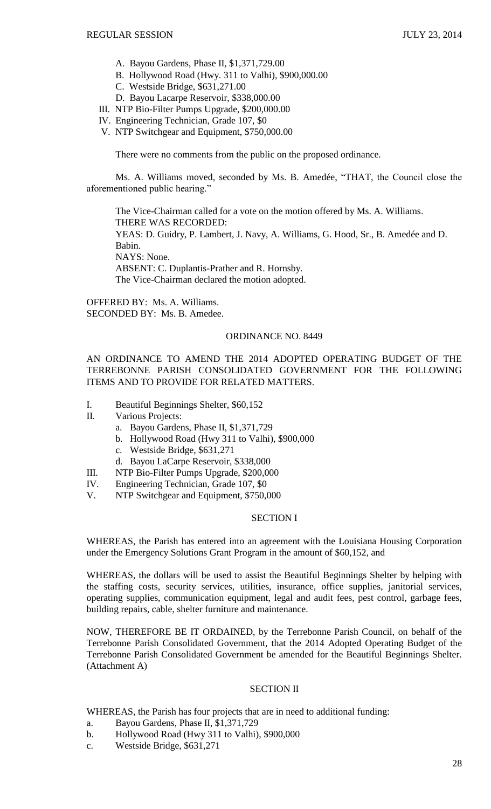- A. Bayou Gardens, Phase II, \$1,371,729.00
- B. Hollywood Road (Hwy. 311 to Valhi), \$900,000.00
- C. Westside Bridge, \$631,271.00
- D. Bayou Lacarpe Reservoir, \$338,000.00
- III. NTP Bio-Filter Pumps Upgrade, \$200,000.00
- IV. Engineering Technician, Grade 107, \$0
- V. NTP Switchgear and Equipment, \$750,000.00

There were no comments from the public on the proposed ordinance.

Ms. A. Williams moved, seconded by Ms. B. Amedée, "THAT, the Council close the aforementioned public hearing."

The Vice-Chairman called for a vote on the motion offered by Ms. A. Williams. THERE WAS RECORDED: YEAS: D. Guidry, P. Lambert, J. Navy, A. Williams, G. Hood, Sr., B. Amedée and D. Babin. NAYS: None. ABSENT: C. Duplantis-Prather and R. Hornsby. The Vice-Chairman declared the motion adopted.

OFFERED BY: Ms. A. Williams. SECONDED BY: Ms. B. Amedee.

## ORDINANCE NO. 8449

## AN ORDINANCE TO AMEND THE 2014 ADOPTED OPERATING BUDGET OF THE TERREBONNE PARISH CONSOLIDATED GOVERNMENT FOR THE FOLLOWING ITEMS AND TO PROVIDE FOR RELATED MATTERS.

- I. Beautiful Beginnings Shelter, \$60,152
- II. Various Projects:
	- a. Bayou Gardens, Phase II, \$1,371,729
	- b. Hollywood Road (Hwy 311 to Valhi), \$900,000
	- c. Westside Bridge, \$631,271
	- d. Bayou LaCarpe Reservoir, \$338,000
- III. NTP Bio-Filter Pumps Upgrade, \$200,000
- IV. Engineering Technician, Grade 107, \$0
- V. NTP Switchgear and Equipment, \$750,000

## SECTION I

WHEREAS, the Parish has entered into an agreement with the Louisiana Housing Corporation under the Emergency Solutions Grant Program in the amount of \$60,152, and

WHEREAS, the dollars will be used to assist the Beautiful Beginnings Shelter by helping with the staffing costs, security services, utilities, insurance, office supplies, janitorial services, operating supplies, communication equipment, legal and audit fees, pest control, garbage fees, building repairs, cable, shelter furniture and maintenance.

NOW, THEREFORE BE IT ORDAINED, by the Terrebonne Parish Council, on behalf of the Terrebonne Parish Consolidated Government, that the 2014 Adopted Operating Budget of the Terrebonne Parish Consolidated Government be amended for the Beautiful Beginnings Shelter. (Attachment A)

## SECTION II

WHEREAS, the Parish has four projects that are in need to additional funding:

- a. Bayou Gardens, Phase II, \$1,371,729
- b. Hollywood Road (Hwy 311 to Valhi), \$900,000
- c. Westside Bridge, \$631,271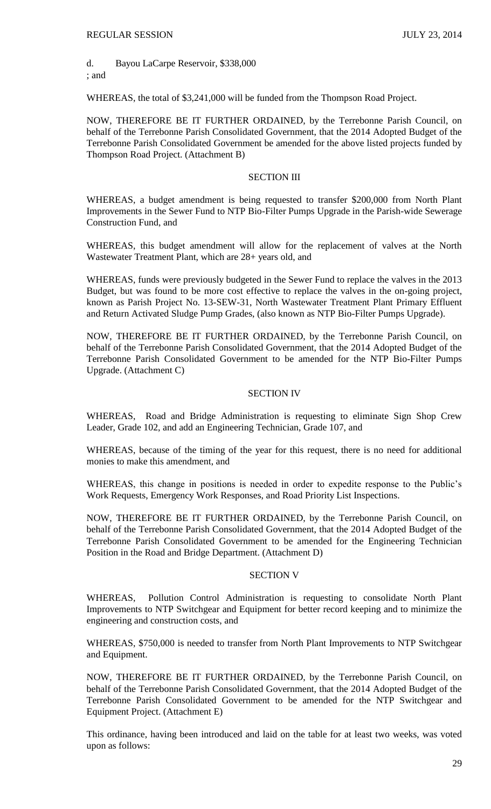d. Bayou LaCarpe Reservoir, \$338,000 ; and

WHEREAS, the total of \$3,241,000 will be funded from the Thompson Road Project.

NOW, THEREFORE BE IT FURTHER ORDAINED, by the Terrebonne Parish Council, on behalf of the Terrebonne Parish Consolidated Government, that the 2014 Adopted Budget of the Terrebonne Parish Consolidated Government be amended for the above listed projects funded by Thompson Road Project. (Attachment B)

### SECTION III

WHEREAS, a budget amendment is being requested to transfer \$200,000 from North Plant Improvements in the Sewer Fund to NTP Bio-Filter Pumps Upgrade in the Parish-wide Sewerage Construction Fund, and

WHEREAS, this budget amendment will allow for the replacement of valves at the North Wastewater Treatment Plant, which are 28+ years old, and

WHEREAS, funds were previously budgeted in the Sewer Fund to replace the valves in the 2013 Budget, but was found to be more cost effective to replace the valves in the on-going project, known as Parish Project No. 13-SEW-31, North Wastewater Treatment Plant Primary Effluent and Return Activated Sludge Pump Grades, (also known as NTP Bio-Filter Pumps Upgrade).

NOW, THEREFORE BE IT FURTHER ORDAINED, by the Terrebonne Parish Council, on behalf of the Terrebonne Parish Consolidated Government, that the 2014 Adopted Budget of the Terrebonne Parish Consolidated Government to be amended for the NTP Bio-Filter Pumps Upgrade. (Attachment C)

### SECTION IV

WHEREAS, Road and Bridge Administration is requesting to eliminate Sign Shop Crew Leader, Grade 102, and add an Engineering Technician, Grade 107, and

WHEREAS, because of the timing of the year for this request, there is no need for additional monies to make this amendment, and

WHEREAS, this change in positions is needed in order to expedite response to the Public's Work Requests, Emergency Work Responses, and Road Priority List Inspections.

NOW, THEREFORE BE IT FURTHER ORDAINED, by the Terrebonne Parish Council, on behalf of the Terrebonne Parish Consolidated Government, that the 2014 Adopted Budget of the Terrebonne Parish Consolidated Government to be amended for the Engineering Technician Position in the Road and Bridge Department. (Attachment D)

## SECTION V

WHEREAS, Pollution Control Administration is requesting to consolidate North Plant Improvements to NTP Switchgear and Equipment for better record keeping and to minimize the engineering and construction costs, and

WHEREAS, \$750,000 is needed to transfer from North Plant Improvements to NTP Switchgear and Equipment.

NOW, THEREFORE BE IT FURTHER ORDAINED, by the Terrebonne Parish Council, on behalf of the Terrebonne Parish Consolidated Government, that the 2014 Adopted Budget of the Terrebonne Parish Consolidated Government to be amended for the NTP Switchgear and Equipment Project. (Attachment E)

This ordinance, having been introduced and laid on the table for at least two weeks, was voted upon as follows: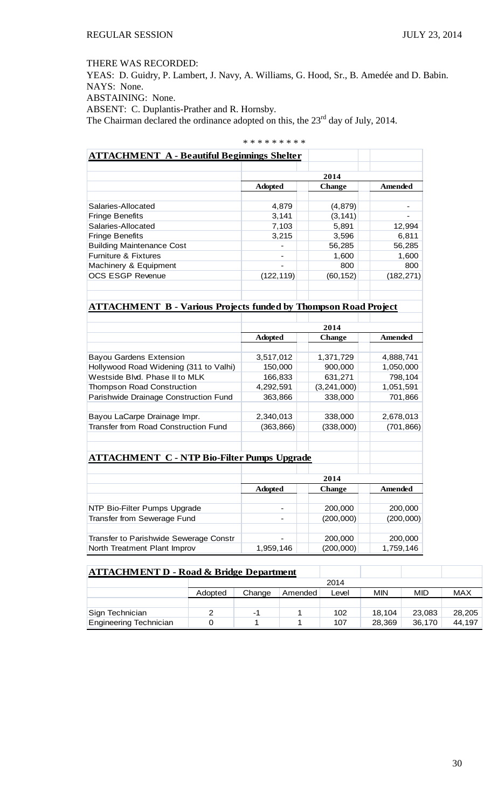## THERE WAS RECORDED:

YEAS: D. Guidry, P. Lambert, J. Navy, A. Williams, G. Hood, Sr., B. Amedée and D. Babin. NAYS: None.

ABSTAINING: None.

ABSENT: C. Duplantis-Prather and R. Hornsby.

The Chairman declared the ordinance adopted on this, the  $23<sup>rd</sup>$  day of July, 2014.

|                                                    | * * * * * * * * * |               |            |  |  |  |  |
|----------------------------------------------------|-------------------|---------------|------------|--|--|--|--|
| <b>ATTACHMENT A - Beautiful Beginnings Shelter</b> |                   |               |            |  |  |  |  |
|                                                    | 2014              |               |            |  |  |  |  |
|                                                    | <b>Adopted</b>    | <b>Change</b> | Amended    |  |  |  |  |
| Salaries-Allocated                                 | 4,879             | (4, 879)      |            |  |  |  |  |
| <b>Fringe Benefits</b>                             | 3,141             | (3, 141)      |            |  |  |  |  |
| Salaries-Allocated                                 | 7,103             | 5,891         | 12,994     |  |  |  |  |
| <b>Fringe Benefits</b>                             | 3,215             | 3,596         | 6,811      |  |  |  |  |
| <b>Building Maintenance Cost</b>                   |                   | 56,285        | 56,285     |  |  |  |  |
| <b>Furniture &amp; Fixtures</b>                    |                   | 1,600         | 1,600      |  |  |  |  |
| Machinery & Equipment                              |                   | 800           | 800        |  |  |  |  |
| <b>OCS ESGP Revenue</b>                            | (122, 119)        | (60, 152)     | (182, 271) |  |  |  |  |
|                                                    |                   |               |            |  |  |  |  |

# **ATTACHMENT B - Various Projects funded by Thompson Road Project**

|                                                    |                | 2014           |                |
|----------------------------------------------------|----------------|----------------|----------------|
|                                                    | <b>Adopted</b> | <b>Amended</b> |                |
|                                                    |                |                |                |
| <b>Bayou Gardens Extension</b>                     | 3,517,012      | 1,371,729      | 4,888,741      |
| Hollywood Road Widening (311 to Valhi)             | 150,000        | 900,000        | 1,050,000      |
| Westside Blvd. Phase II to MLK                     | 166,833        | 631,271        | 798,104        |
| <b>Thompson Road Construction</b>                  | 4,292,591      | (3, 241, 000)  | 1,051,591      |
| Parishwide Drainage Construction Fund              | 363,866        | 338,000        | 701,866        |
|                                                    |                |                |                |
| Bayou LaCarpe Drainage Impr.                       | 2,340,013      | 338,000        | 2,678,013      |
| Transfer from Road Construction Fund               | (363,866)      | (338,000)      | (701, 866)     |
|                                                    |                |                |                |
|                                                    |                |                |                |
| <b>ATTACHMENT C - NTP Bio-Filter Pumps Upgrade</b> |                |                |                |
|                                                    |                |                |                |
|                                                    |                | 2014           |                |
|                                                    | <b>Adopted</b> | <b>Change</b>  | <b>Amended</b> |
|                                                    |                |                |                |
| NTP Rio-Filter Pumps Upgrade                       |                | 200.000        | 200.000        |

| <b>Solution</b> international conditions in |           | ZUU.UUU   | ZUU,UUU   |
|---------------------------------------------|-----------|-----------|-----------|
| Transfer from Sewerage Fund                 | -         | (200,000) | (200,000) |
|                                             |           |           |           |
| Transfer to Parishwide Sewerage Constr      | -         | 200,000   | 200,000   |
| North Treatment Plant Improv                | 1.959.146 | (200,000) | 1,759,146 |

| <b>ATTACHMENT D - Road &amp; Bridge Department</b> |                                                            |      |  |     |        |        |        |  |  |
|----------------------------------------------------|------------------------------------------------------------|------|--|-----|--------|--------|--------|--|--|
|                                                    |                                                            | 2014 |  |     |        |        |        |  |  |
|                                                    | MID<br>MIN<br>MAX<br>Change<br>Amended<br>Adopted<br>Level |      |  |     |        |        |        |  |  |
|                                                    |                                                            |      |  |     |        |        |        |  |  |
| Sign Technician                                    |                                                            | -1   |  | 102 | 18.104 | 23.083 | 28,205 |  |  |
| <b>Engineering Technician</b>                      |                                                            |      |  | 107 | 28,369 | 36.170 | 44.197 |  |  |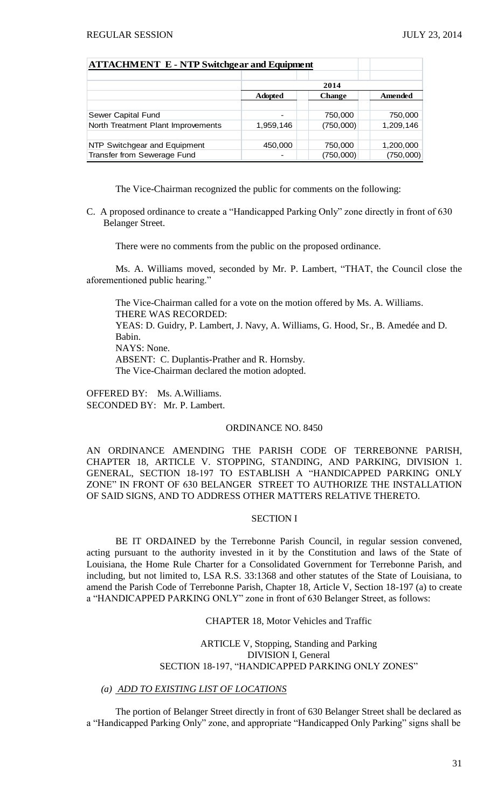| <b>ATTACHMENT E - NTP Switchgear and Equipment</b> |
|----------------------------------------------------|
|                                                    |

|                                    | 2014                                       |           |           |  |  |  |  |
|------------------------------------|--------------------------------------------|-----------|-----------|--|--|--|--|
|                                    | <b>Adopted</b><br>Amended<br><b>Change</b> |           |           |  |  |  |  |
|                                    |                                            |           |           |  |  |  |  |
| Sewer Capital Fund                 |                                            | 750,000   | 750,000   |  |  |  |  |
| North Treatment Plant Improvements | 1,959,146                                  | (750,000) | 1,209,146 |  |  |  |  |
|                                    |                                            |           |           |  |  |  |  |
| NTP Switchgear and Equipment       | 450,000                                    | 750,000   | 1,200,000 |  |  |  |  |
| Transfer from Sewerage Fund        |                                            | (750,000) | (750,000) |  |  |  |  |

The Vice-Chairman recognized the public for comments on the following:

C. A proposed ordinance to create a "Handicapped Parking Only" zone directly in front of 630 Belanger Street.

There were no comments from the public on the proposed ordinance.

Ms. A. Williams moved, seconded by Mr. P. Lambert, "THAT, the Council close the aforementioned public hearing."

The Vice-Chairman called for a vote on the motion offered by Ms. A. Williams. THERE WAS RECORDED: YEAS: D. Guidry, P. Lambert, J. Navy, A. Williams, G. Hood, Sr., B. Amedée and D. Babin. NAYS: None. ABSENT: C. Duplantis-Prather and R. Hornsby. The Vice-Chairman declared the motion adopted.

OFFERED BY: Ms. A.Williams. SECONDED BY: Mr. P. Lambert.

### ORDINANCE NO. 8450

AN ORDINANCE AMENDING THE PARISH CODE OF TERREBONNE PARISH, CHAPTER 18, ARTICLE V. STOPPING, STANDING, AND PARKING, DIVISION 1. GENERAL, SECTION 18-197 TO ESTABLISH A "HANDICAPPED PARKING ONLY ZONE" IN FRONT OF 630 BELANGER STREET TO AUTHORIZE THE INSTALLATION OF SAID SIGNS, AND TO ADDRESS OTHER MATTERS RELATIVE THERETO.

## SECTION I

BE IT ORDAINED by the Terrebonne Parish Council, in regular session convened, acting pursuant to the authority invested in it by the Constitution and laws of the State of Louisiana, the Home Rule Charter for a Consolidated Government for Terrebonne Parish, and including, but not limited to, LSA R.S. 33:1368 and other statutes of the State of Louisiana, to amend the Parish Code of Terrebonne Parish, Chapter 18, Article V, Section 18-197 (a) to create a "HANDICAPPED PARKING ONLY" zone in front of 630 Belanger Street, as follows:

CHAPTER 18, Motor Vehicles and Traffic

ARTICLE V, Stopping, Standing and Parking DIVISION I, General SECTION 18-197, "HANDICAPPED PARKING ONLY ZONES"

#### *(a) ADD TO EXISTING LIST OF LOCATIONS*

The portion of Belanger Street directly in front of 630 Belanger Street shall be declared as a "Handicapped Parking Only" zone, and appropriate "Handicapped Only Parking" signs shall be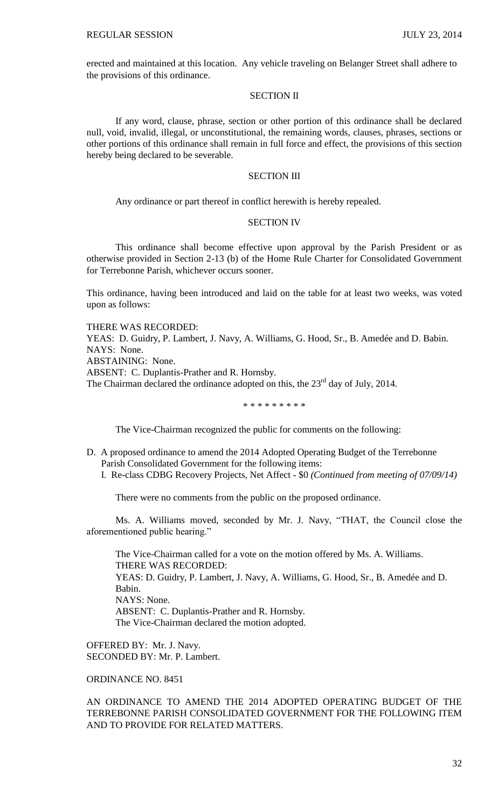erected and maintained at this location. Any vehicle traveling on Belanger Street shall adhere to the provisions of this ordinance.

## SECTION II

If any word, clause, phrase, section or other portion of this ordinance shall be declared null, void, invalid, illegal, or unconstitutional, the remaining words, clauses, phrases, sections or other portions of this ordinance shall remain in full force and effect, the provisions of this section hereby being declared to be severable.

## SECTION III

Any ordinance or part thereof in conflict herewith is hereby repealed.

#### SECTION IV

This ordinance shall become effective upon approval by the Parish President or as otherwise provided in Section 2-13 (b) of the Home Rule Charter for Consolidated Government for Terrebonne Parish, whichever occurs sooner.

This ordinance, having been introduced and laid on the table for at least two weeks, was voted upon as follows:

THERE WAS RECORDED: YEAS: D. Guidry, P. Lambert, J. Navy, A. Williams, G. Hood, Sr., B. Amedée and D. Babin. NAYS: None. ABSTAINING: None. ABSENT: C. Duplantis-Prather and R. Hornsby. The Chairman declared the ordinance adopted on this, the 23<sup>rd</sup> day of July, 2014.

\* \* \* \* \* \* \* \* \*

The Vice-Chairman recognized the public for comments on the following:

- D. A proposed ordinance to amend the 2014 Adopted Operating Budget of the Terrebonne Parish Consolidated Government for the following items:
	- I. Re-class CDBG Recovery Projects, Net Affect \$0 *(Continued from meeting of 07/09/14)*

There were no comments from the public on the proposed ordinance.

Ms. A. Williams moved, seconded by Mr. J. Navy, "THAT, the Council close the aforementioned public hearing."

The Vice-Chairman called for a vote on the motion offered by Ms. A. Williams. THERE WAS RECORDED: YEAS: D. Guidry, P. Lambert, J. Navy, A. Williams, G. Hood, Sr., B. Amedée and D. Babin. NAYS: None. ABSENT: C. Duplantis-Prather and R. Hornsby. The Vice-Chairman declared the motion adopted.

OFFERED BY: Mr. J. Navy. SECONDED BY: Mr. P. Lambert.

ORDINANCE NO. 8451

AN ORDINANCE TO AMEND THE 2014 ADOPTED OPERATING BUDGET OF THE TERREBONNE PARISH CONSOLIDATED GOVERNMENT FOR THE FOLLOWING ITEM AND TO PROVIDE FOR RELATED MATTERS.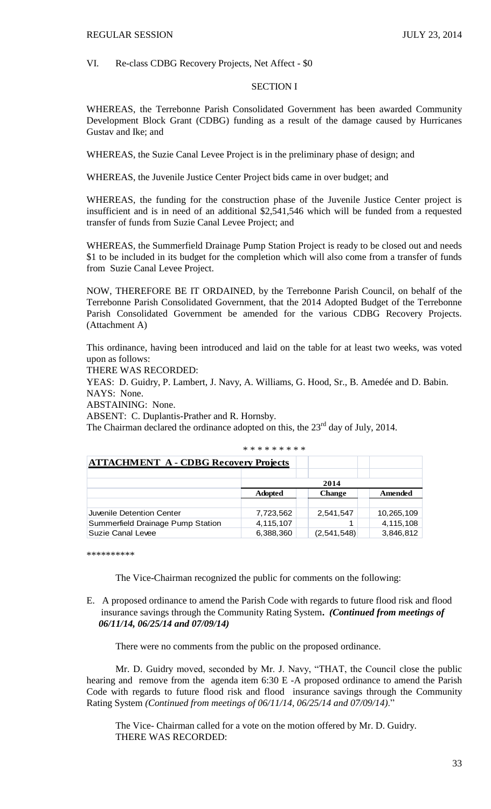VI. Re-class CDBG Recovery Projects, Net Affect - \$0

### SECTION I

WHEREAS, the Terrebonne Parish Consolidated Government has been awarded Community Development Block Grant (CDBG) funding as a result of the damage caused by Hurricanes Gustav and Ike; and

WHEREAS, the Suzie Canal Levee Project is in the preliminary phase of design; and

WHEREAS, the Juvenile Justice Center Project bids came in over budget; and

WHEREAS, the funding for the construction phase of the Juvenile Justice Center project is insufficient and is in need of an additional \$2,541,546 which will be funded from a requested transfer of funds from Suzie Canal Levee Project; and

WHEREAS, the Summerfield Drainage Pump Station Project is ready to be closed out and needs \$1 to be included in its budget for the completion which will also come from a transfer of funds from Suzie Canal Levee Project.

NOW, THEREFORE BE IT ORDAINED, by the Terrebonne Parish Council, on behalf of the Terrebonne Parish Consolidated Government, that the 2014 Adopted Budget of the Terrebonne Parish Consolidated Government be amended for the various CDBG Recovery Projects. (Attachment A)

This ordinance, having been introduced and laid on the table for at least two weeks, was voted upon as follows:

THERE WAS RECORDED:

YEAS: D. Guidry, P. Lambert, J. Navy, A. Williams, G. Hood, Sr., B. Amedée and D. Babin. NAYS: None.

ABSTAINING: None.

ABSENT: C. Duplantis-Prather and R. Hornsby.

The Chairman declared the ordinance adopted on this, the 23<sup>rd</sup> day of July, 2014.

|  |  |  | * * * * * * * * * |  |  |
|--|--|--|-------------------|--|--|
|  |  |  |                   |  |  |

| <b>ATTACHMENT A - CDBG Recovery Projects</b> |                                            |             |            |  |  |  |  |
|----------------------------------------------|--------------------------------------------|-------------|------------|--|--|--|--|
|                                              |                                            | 2014        |            |  |  |  |  |
|                                              | <b>Adopted</b><br><b>Change</b><br>Amended |             |            |  |  |  |  |
|                                              |                                            |             |            |  |  |  |  |
| Juvenile Detention Center                    | 7,723,562                                  | 2,541,547   | 10,265,109 |  |  |  |  |
| Summerfield Drainage Pump Station            | 4,115,107                                  |             | 4,115,108  |  |  |  |  |
| Suzie Canal Levee                            | 6,388,360                                  | (2,541,548) | 3,846,812  |  |  |  |  |

\*\*\*\*\*\*\*\*\*\*

The Vice-Chairman recognized the public for comments on the following:

E. A proposed ordinance to amend the Parish Code with regards to future flood risk and flood insurance savings through the Community Rating System**.** *(Continued from meetings of 06/11/14, 06/25/14 and 07/09/14)*

There were no comments from the public on the proposed ordinance.

Mr. D. Guidry moved, seconded by Mr. J. Navy, "THAT, the Council close the public hearing and remove from the agenda item 6:30 E -A proposed ordinance to amend the Parish Code with regards to future flood risk and flood insurance savings through the Community Rating System *(Continued from meetings of 06/11/14, 06/25/14 and 07/09/14)*."

The Vice- Chairman called for a vote on the motion offered by Mr. D. Guidry. THERE WAS RECORDED: